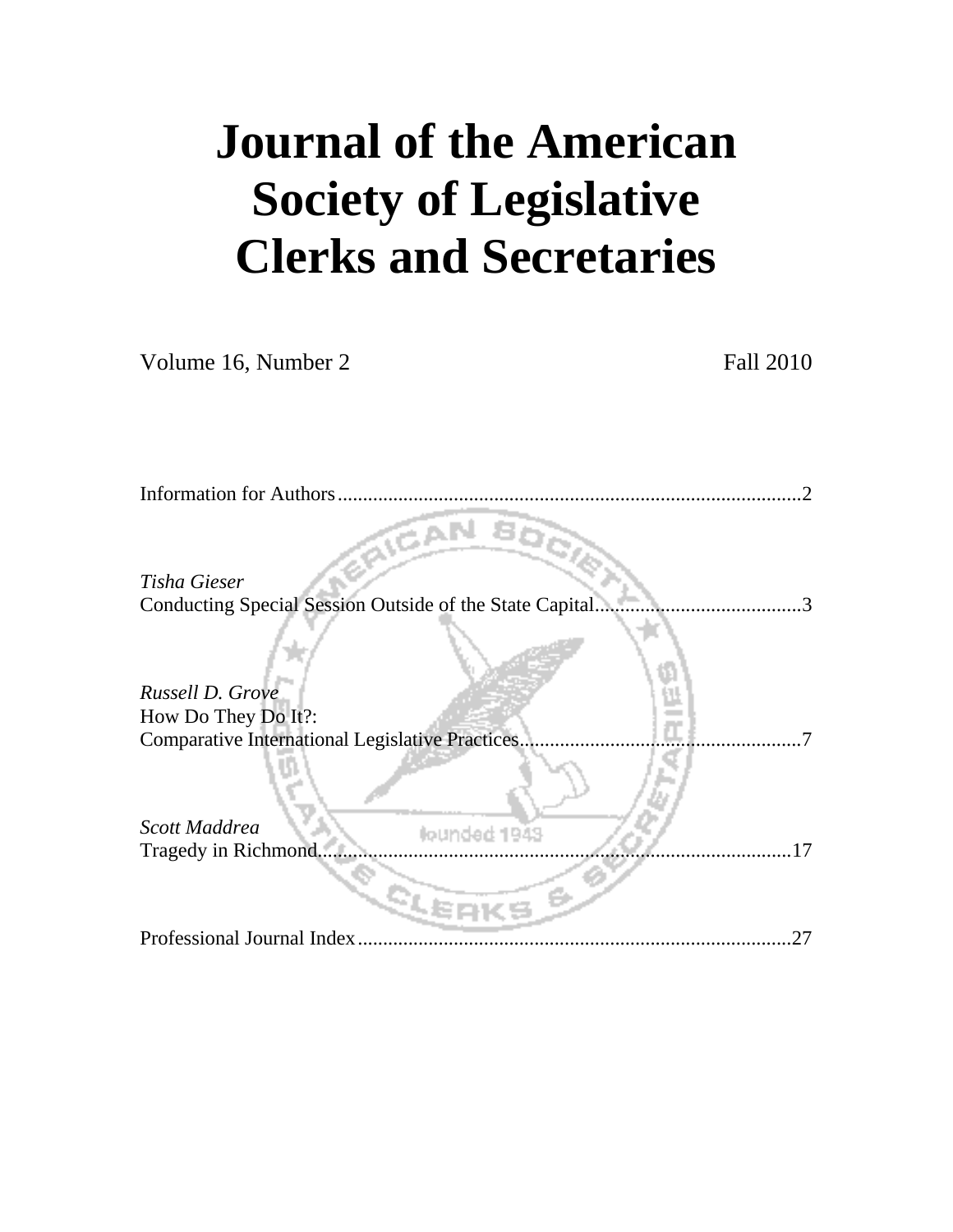# **Journal of the American Society of Legislative Clerks and Secretaries**

Volume 16, Number 2 Fall 2010

| <b>Information for Authors</b>                                           |
|--------------------------------------------------------------------------|
| Tisha Gieser                                                             |
| Conducting Special Session Outside of the State Capital<br>$\mathcal{R}$ |
|                                                                          |
| Russell D. Grove                                                         |
| How Do They Do It?:                                                      |
| <b>Comparative International Legislative Practices.</b>                  |
| Scott Maddrea<br>founded 1943<br>Tragedy in Richmond<br>17               |
|                                                                          |
| Professional Journal Index<br>27                                         |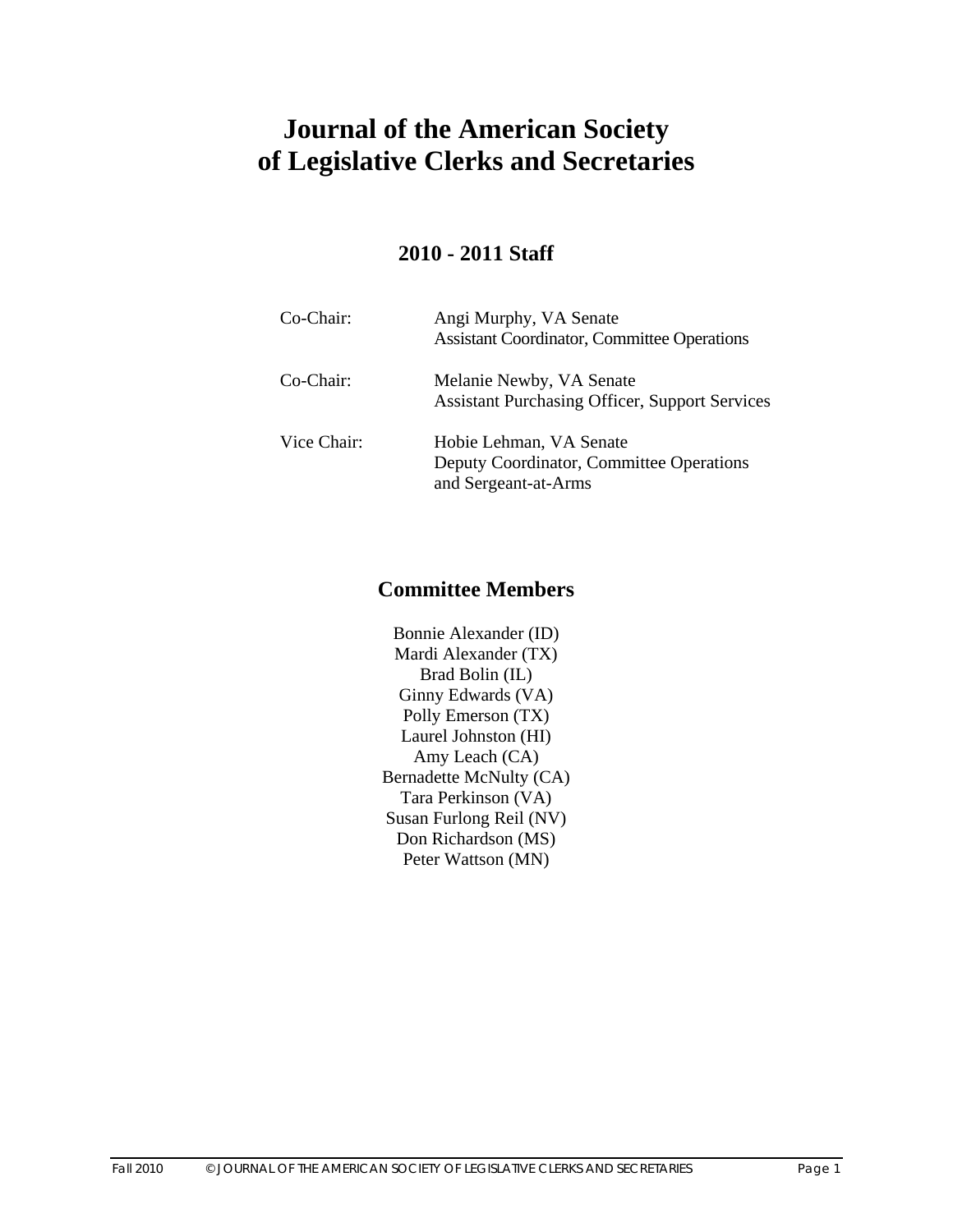# **Journal of the American Society of Legislative Clerks and Secretaries**

## **2010 - 2011 Staff**

| Co-Chair:   | Angi Murphy, VA Senate<br><b>Assistant Coordinator, Committee Operations</b>                |
|-------------|---------------------------------------------------------------------------------------------|
| Co-Chair:   | Melanie Newby, VA Senate<br><b>Assistant Purchasing Officer, Support Services</b>           |
| Vice Chair: | Hobie Lehman, VA Senate<br>Deputy Coordinator, Committee Operations<br>and Sergeant-at-Arms |

## **Committee Members**

Bonnie Alexander (ID) Mardi Alexander (TX) Brad Bolin (IL) Ginny Edwards (VA) Polly Emerson (TX) Laurel Johnston (HI) Amy Leach (CA) Bernadette McNulty (CA) Tara Perkinson (VA) Susan Furlong Reil (NV) Don Richardson (MS) Peter Wattson (MN)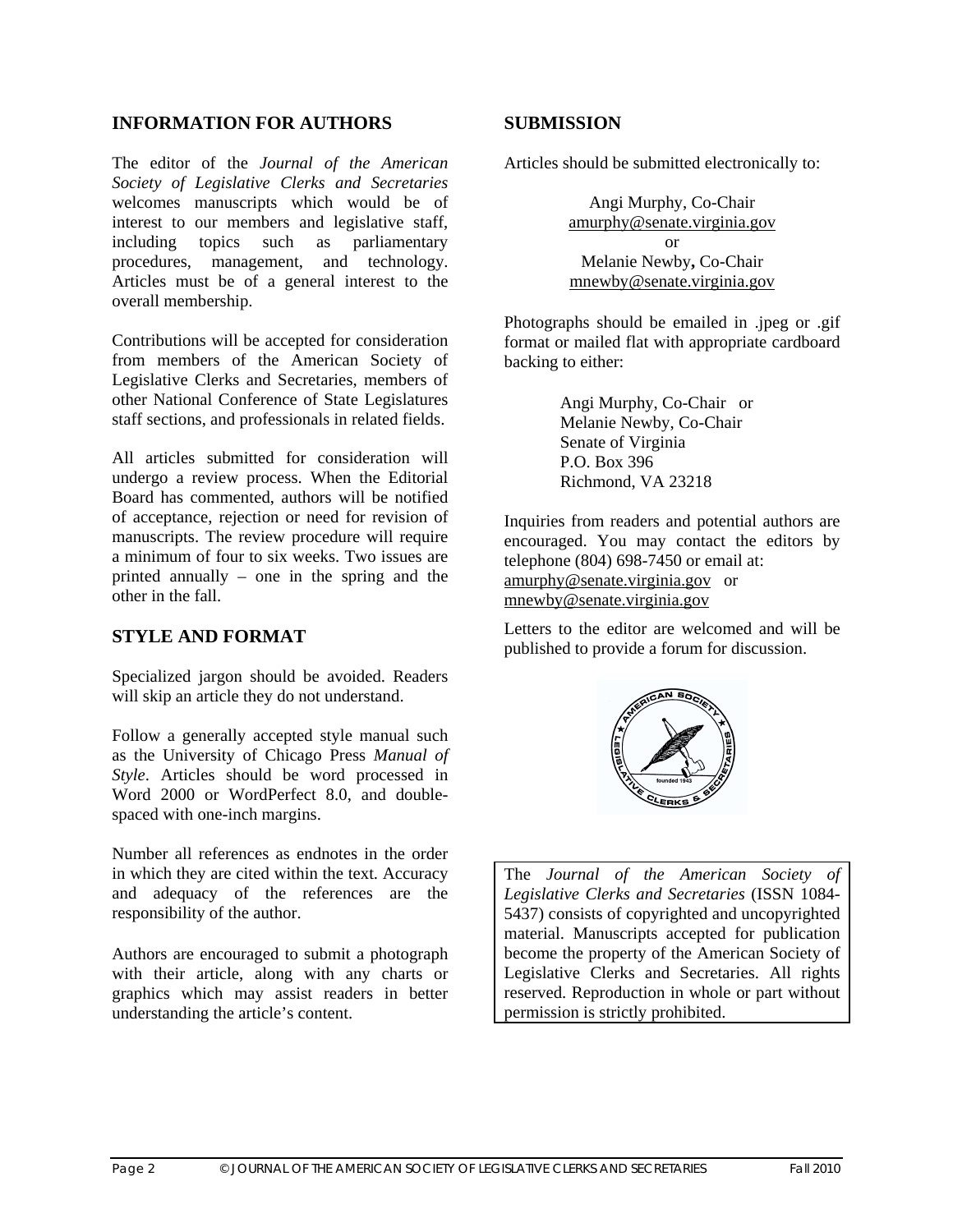#### **INFORMATION FOR AUTHORS**

The editor of the *Journal of the American Society of Legislative Clerks and Secretaries* welcomes manuscripts which would be of interest to our members and legislative staff, including topics such as parliamentary procedures, management, and technology. Articles must be of a general interest to the overall membership.

Contributions will be accepted for consideration from members of the American Society of Legislative Clerks and Secretaries, members of other National Conference of State Legislatures staff sections, and professionals in related fields.

All articles submitted for consideration will undergo a review process. When the Editorial Board has commented, authors will be notified of acceptance, rejection or need for revision of manuscripts. The review procedure will require a minimum of four to six weeks. Two issues are printed annually – one in the spring and the other in the fall.

#### **STYLE AND FORMAT**

Specialized jargon should be avoided. Readers will skip an article they do not understand.

Follow a generally accepted style manual such as the University of Chicago Press *Manual of Style*. Articles should be word processed in Word 2000 or WordPerfect 8.0, and doublespaced with one-inch margins.

Number all references as endnotes in the order in which they are cited within the text. Accuracy and adequacy of the references are the responsibility of the author.

Authors are encouraged to submit a photograph with their article, along with any charts or graphics which may assist readers in better understanding the article's content.

#### **SUBMISSION**

Articles should be submitted electronically to:

Angi Murphy, Co-Chair amurphy@senate.virginia.gov or Melanie Newby**,** Co-Chair mnewby@senate.virginia.gov

Photographs should be emailed in .jpeg or .gif format or mailed flat with appropriate cardboard backing to either:

> Angi Murphy, Co-Chair or Melanie Newby, Co-Chair Senate of Virginia P.O. Box 396 Richmond, VA 23218

Inquiries from readers and potential authors are encouraged. You may contact the editors by telephone (804) 698-7450 or email at: amurphy@senate.virginia.gov or mnewby@senate.virginia.gov

Letters to the editor are welcomed and will be published to provide a forum for discussion.



The *Journal of the American Society of Legislative Clerks and Secretaries* (ISSN 1084- 5437) consists of copyrighted and uncopyrighted material. Manuscripts accepted for publication become the property of the American Society of Legislative Clerks and Secretaries. All rights reserved. Reproduction in whole or part without permission is strictly prohibited.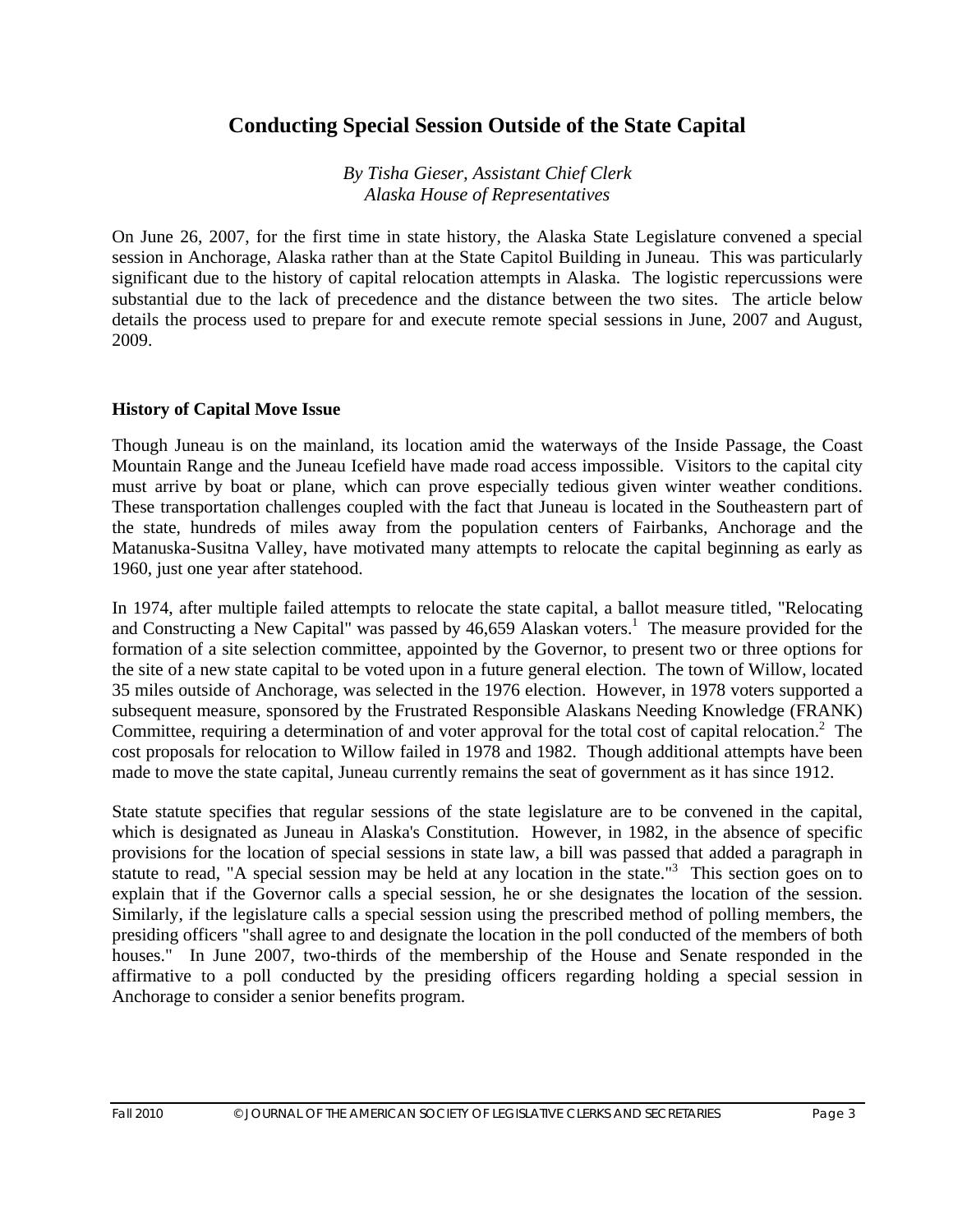## **Conducting Special Session Outside of the State Capital**

*By Tisha Gieser, Assistant Chief Clerk Alaska House of Representatives* 

On June 26, 2007, for the first time in state history, the Alaska State Legislature convened a special session in Anchorage, Alaska rather than at the State Capitol Building in Juneau. This was particularly significant due to the history of capital relocation attempts in Alaska. The logistic repercussions were substantial due to the lack of precedence and the distance between the two sites. The article below details the process used to prepare for and execute remote special sessions in June, 2007 and August, 2009.

#### **History of Capital Move Issue**

Though Juneau is on the mainland, its location amid the waterways of the Inside Passage, the Coast Mountain Range and the Juneau Icefield have made road access impossible. Visitors to the capital city must arrive by boat or plane, which can prove especially tedious given winter weather conditions. These transportation challenges coupled with the fact that Juneau is located in the Southeastern part of the state, hundreds of miles away from the population centers of Fairbanks, Anchorage and the Matanuska-Susitna Valley, have motivated many attempts to relocate the capital beginning as early as 1960, just one year after statehood.

In 1974, after multiple failed attempts to relocate the state capital, a ballot measure titled, "Relocating and Constructing a New Capital" was passed by  $46,659$  Alaskan voters.<sup>1</sup> The measure provided for the formation of a site selection committee, appointed by the Governor, to present two or three options for the site of a new state capital to be voted upon in a future general election. The town of Willow, located 35 miles outside of Anchorage, was selected in the 1976 election. However, in 1978 voters supported a subsequent measure, sponsored by the Frustrated Responsible Alaskans Needing Knowledge (FRANK) Committee, requiring a determination of and voter approval for the total cost of capital relocation.<sup>2</sup> The cost proposals for relocation to Willow failed in 1978 and 1982. Though additional attempts have been made to move the state capital, Juneau currently remains the seat of government as it has since 1912.

State statute specifies that regular sessions of the state legislature are to be convened in the capital, which is designated as Juneau in Alaska's Constitution. However, in 1982, in the absence of specific provisions for the location of special sessions in state law, a bill was passed that added a paragraph in statute to read, "A special session may be held at any location in the state."<sup>3</sup> This section goes on to explain that if the Governor calls a special session, he or she designates the location of the session. Similarly, if the legislature calls a special session using the prescribed method of polling members, the presiding officers "shall agree to and designate the location in the poll conducted of the members of both houses." In June 2007, two-thirds of the membership of the House and Senate responded in the affirmative to a poll conducted by the presiding officers regarding holding a special session in Anchorage to consider a senior benefits program.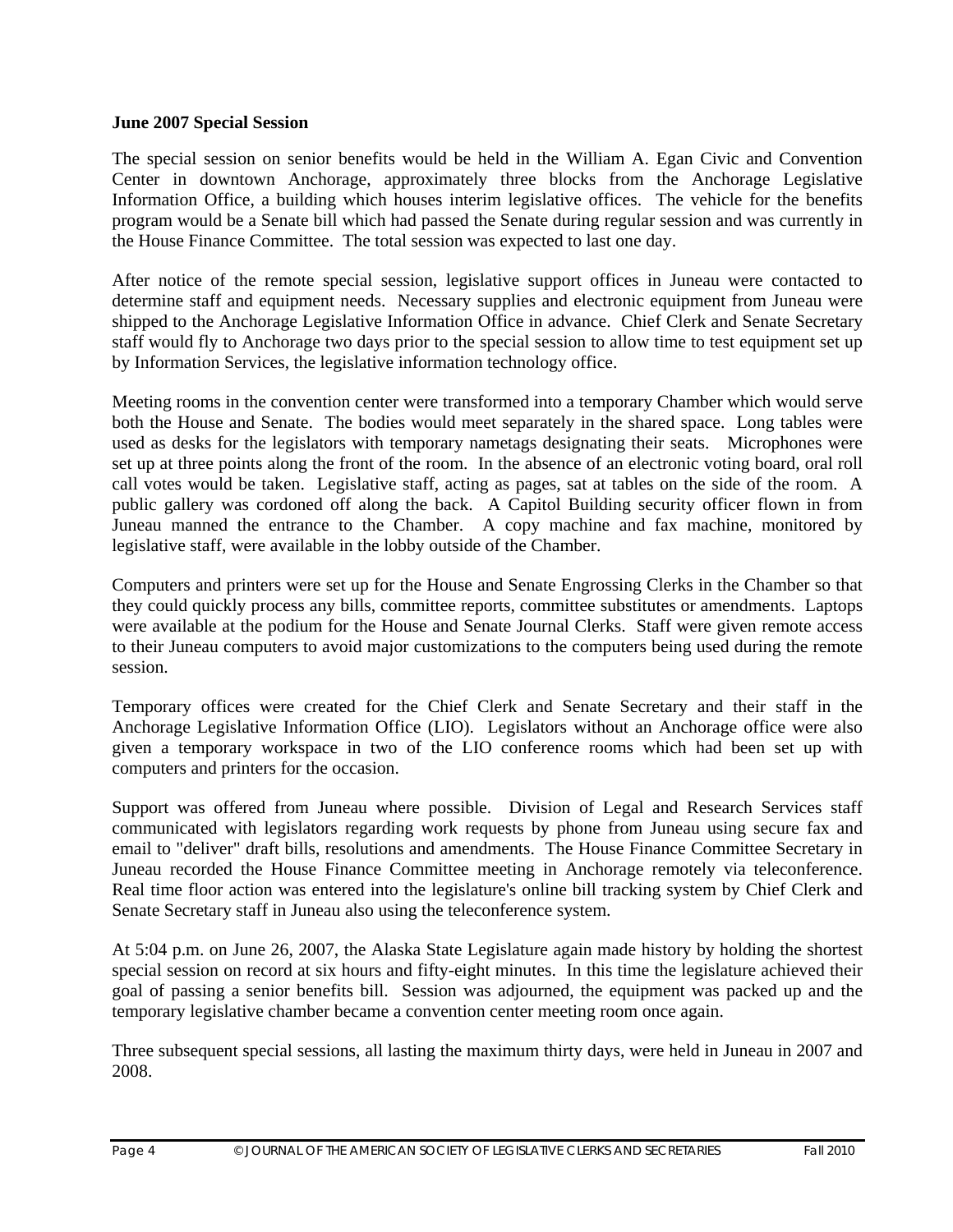#### **June 2007 Special Session**

The special session on senior benefits would be held in the William A. Egan Civic and Convention Center in downtown Anchorage, approximately three blocks from the Anchorage Legislative Information Office, a building which houses interim legislative offices. The vehicle for the benefits program would be a Senate bill which had passed the Senate during regular session and was currently in the House Finance Committee. The total session was expected to last one day.

After notice of the remote special session, legislative support offices in Juneau were contacted to determine staff and equipment needs. Necessary supplies and electronic equipment from Juneau were shipped to the Anchorage Legislative Information Office in advance. Chief Clerk and Senate Secretary staff would fly to Anchorage two days prior to the special session to allow time to test equipment set up by Information Services, the legislative information technology office.

Meeting rooms in the convention center were transformed into a temporary Chamber which would serve both the House and Senate. The bodies would meet separately in the shared space. Long tables were used as desks for the legislators with temporary nametags designating their seats. Microphones were set up at three points along the front of the room. In the absence of an electronic voting board, oral roll call votes would be taken. Legislative staff, acting as pages, sat at tables on the side of the room. A public gallery was cordoned off along the back. A Capitol Building security officer flown in from Juneau manned the entrance to the Chamber. A copy machine and fax machine, monitored by legislative staff, were available in the lobby outside of the Chamber.

Computers and printers were set up for the House and Senate Engrossing Clerks in the Chamber so that they could quickly process any bills, committee reports, committee substitutes or amendments. Laptops were available at the podium for the House and Senate Journal Clerks. Staff were given remote access to their Juneau computers to avoid major customizations to the computers being used during the remote session.

Temporary offices were created for the Chief Clerk and Senate Secretary and their staff in the Anchorage Legislative Information Office (LIO). Legislators without an Anchorage office were also given a temporary workspace in two of the LIO conference rooms which had been set up with computers and printers for the occasion.

Support was offered from Juneau where possible. Division of Legal and Research Services staff communicated with legislators regarding work requests by phone from Juneau using secure fax and email to "deliver" draft bills, resolutions and amendments. The House Finance Committee Secretary in Juneau recorded the House Finance Committee meeting in Anchorage remotely via teleconference. Real time floor action was entered into the legislature's online bill tracking system by Chief Clerk and Senate Secretary staff in Juneau also using the teleconference system.

At 5:04 p.m. on June 26, 2007, the Alaska State Legislature again made history by holding the shortest special session on record at six hours and fifty-eight minutes. In this time the legislature achieved their goal of passing a senior benefits bill. Session was adjourned, the equipment was packed up and the temporary legislative chamber became a convention center meeting room once again.

Three subsequent special sessions, all lasting the maximum thirty days, were held in Juneau in 2007 and 2008.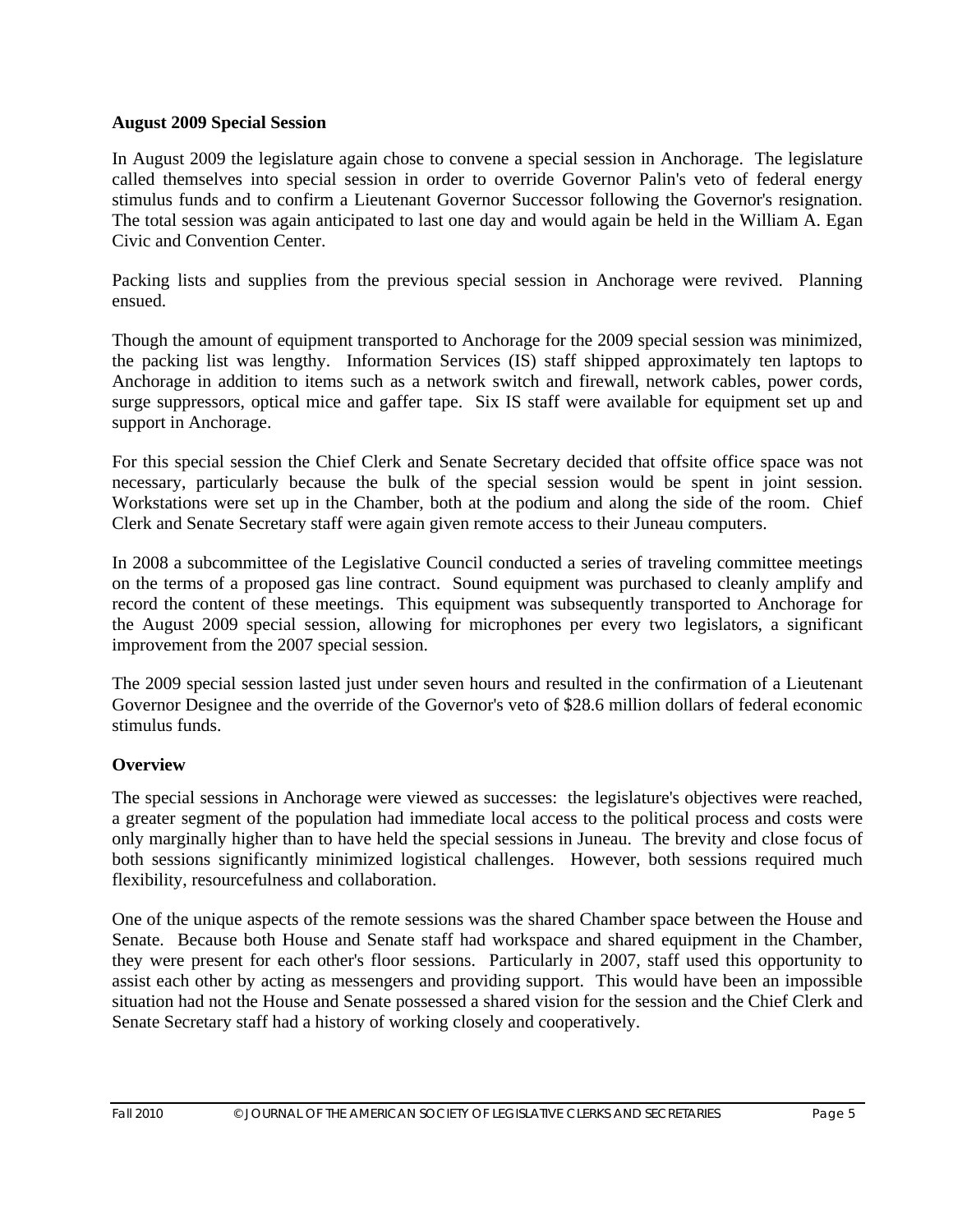#### **August 2009 Special Session**

In August 2009 the legislature again chose to convene a special session in Anchorage. The legislature called themselves into special session in order to override Governor Palin's veto of federal energy stimulus funds and to confirm a Lieutenant Governor Successor following the Governor's resignation. The total session was again anticipated to last one day and would again be held in the William A. Egan Civic and Convention Center.

Packing lists and supplies from the previous special session in Anchorage were revived. Planning ensued.

Though the amount of equipment transported to Anchorage for the 2009 special session was minimized, the packing list was lengthy. Information Services (IS) staff shipped approximately ten laptops to Anchorage in addition to items such as a network switch and firewall, network cables, power cords, surge suppressors, optical mice and gaffer tape. Six IS staff were available for equipment set up and support in Anchorage.

For this special session the Chief Clerk and Senate Secretary decided that offsite office space was not necessary, particularly because the bulk of the special session would be spent in joint session. Workstations were set up in the Chamber, both at the podium and along the side of the room. Chief Clerk and Senate Secretary staff were again given remote access to their Juneau computers.

In 2008 a subcommittee of the Legislative Council conducted a series of traveling committee meetings on the terms of a proposed gas line contract. Sound equipment was purchased to cleanly amplify and record the content of these meetings. This equipment was subsequently transported to Anchorage for the August 2009 special session, allowing for microphones per every two legislators, a significant improvement from the 2007 special session.

The 2009 special session lasted just under seven hours and resulted in the confirmation of a Lieutenant Governor Designee and the override of the Governor's veto of \$28.6 million dollars of federal economic stimulus funds.

#### **Overview**

The special sessions in Anchorage were viewed as successes: the legislature's objectives were reached, a greater segment of the population had immediate local access to the political process and costs were only marginally higher than to have held the special sessions in Juneau. The brevity and close focus of both sessions significantly minimized logistical challenges. However, both sessions required much flexibility, resourcefulness and collaboration.

One of the unique aspects of the remote sessions was the shared Chamber space between the House and Senate. Because both House and Senate staff had workspace and shared equipment in the Chamber, they were present for each other's floor sessions. Particularly in 2007, staff used this opportunity to assist each other by acting as messengers and providing support. This would have been an impossible situation had not the House and Senate possessed a shared vision for the session and the Chief Clerk and Senate Secretary staff had a history of working closely and cooperatively.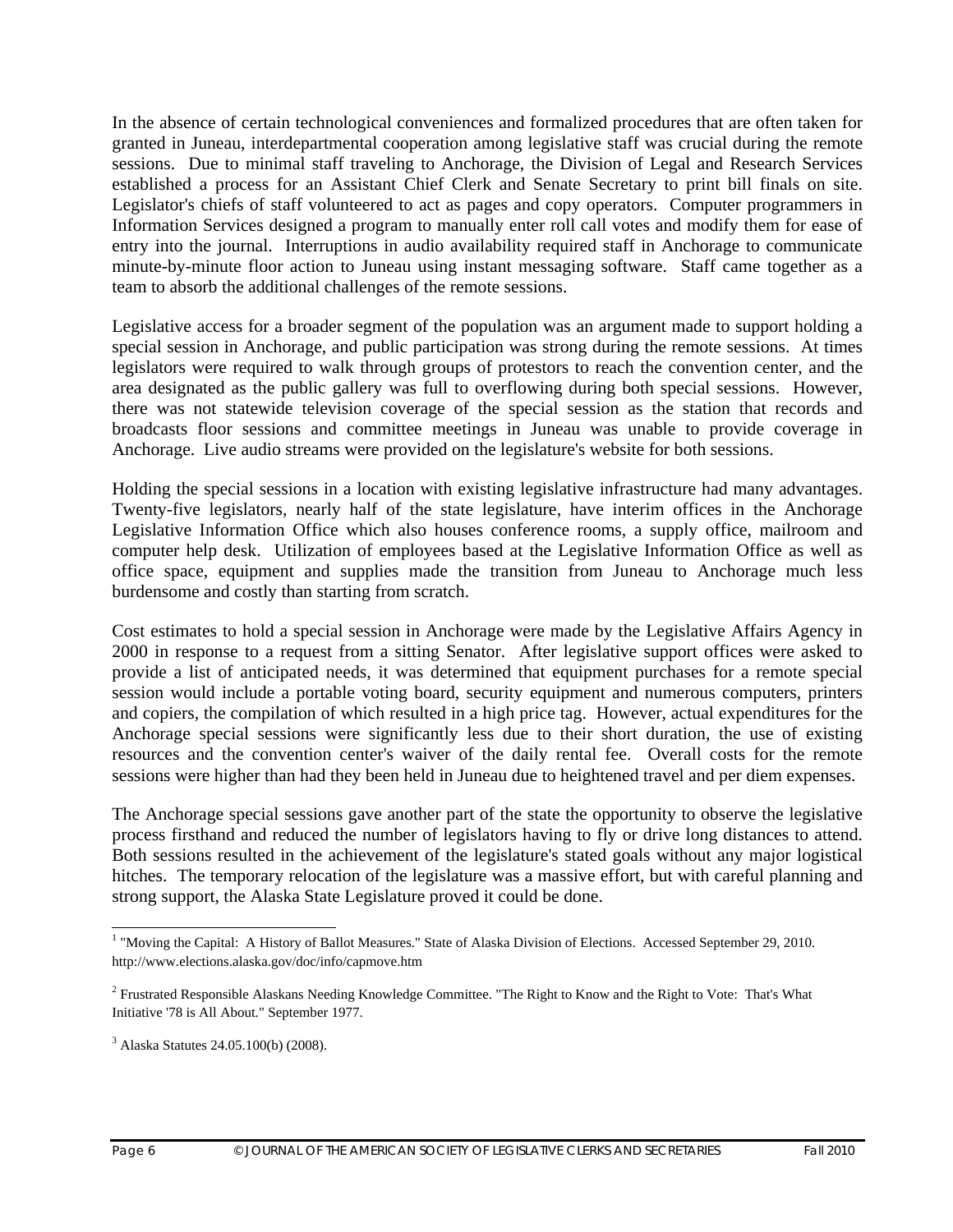In the absence of certain technological conveniences and formalized procedures that are often taken for granted in Juneau, interdepartmental cooperation among legislative staff was crucial during the remote sessions. Due to minimal staff traveling to Anchorage, the Division of Legal and Research Services established a process for an Assistant Chief Clerk and Senate Secretary to print bill finals on site. Legislator's chiefs of staff volunteered to act as pages and copy operators. Computer programmers in Information Services designed a program to manually enter roll call votes and modify them for ease of entry into the journal. Interruptions in audio availability required staff in Anchorage to communicate minute-by-minute floor action to Juneau using instant messaging software. Staff came together as a team to absorb the additional challenges of the remote sessions.

Legislative access for a broader segment of the population was an argument made to support holding a special session in Anchorage, and public participation was strong during the remote sessions. At times legislators were required to walk through groups of protestors to reach the convention center, and the area designated as the public gallery was full to overflowing during both special sessions. However, there was not statewide television coverage of the special session as the station that records and broadcasts floor sessions and committee meetings in Juneau was unable to provide coverage in Anchorage. Live audio streams were provided on the legislature's website for both sessions.

Holding the special sessions in a location with existing legislative infrastructure had many advantages. Twenty-five legislators, nearly half of the state legislature, have interim offices in the Anchorage Legislative Information Office which also houses conference rooms, a supply office, mailroom and computer help desk. Utilization of employees based at the Legislative Information Office as well as office space, equipment and supplies made the transition from Juneau to Anchorage much less burdensome and costly than starting from scratch.

Cost estimates to hold a special session in Anchorage were made by the Legislative Affairs Agency in 2000 in response to a request from a sitting Senator. After legislative support offices were asked to provide a list of anticipated needs, it was determined that equipment purchases for a remote special session would include a portable voting board, security equipment and numerous computers, printers and copiers, the compilation of which resulted in a high price tag. However, actual expenditures for the Anchorage special sessions were significantly less due to their short duration, the use of existing resources and the convention center's waiver of the daily rental fee. Overall costs for the remote sessions were higher than had they been held in Juneau due to heightened travel and per diem expenses.

The Anchorage special sessions gave another part of the state the opportunity to observe the legislative process firsthand and reduced the number of legislators having to fly or drive long distances to attend. Both sessions resulted in the achievement of the legislature's stated goals without any major logistical hitches. The temporary relocation of the legislature was a massive effort, but with careful planning and strong support, the Alaska State Legislature proved it could be done.

 1 "Moving the Capital: A History of Ballot Measures." State of Alaska Division of Elections. Accessed September 29, 2010. http://www.elections.alaska.gov/doc/info/capmove.htm

<sup>&</sup>lt;sup>2</sup> Frustrated Responsible Alaskans Needing Knowledge Committee. "The Right to Know and the Right to Vote: That's What Initiative '78 is All About*.*" September 1977.

<sup>3</sup> Alaska Statutes 24.05.100(b) (2008).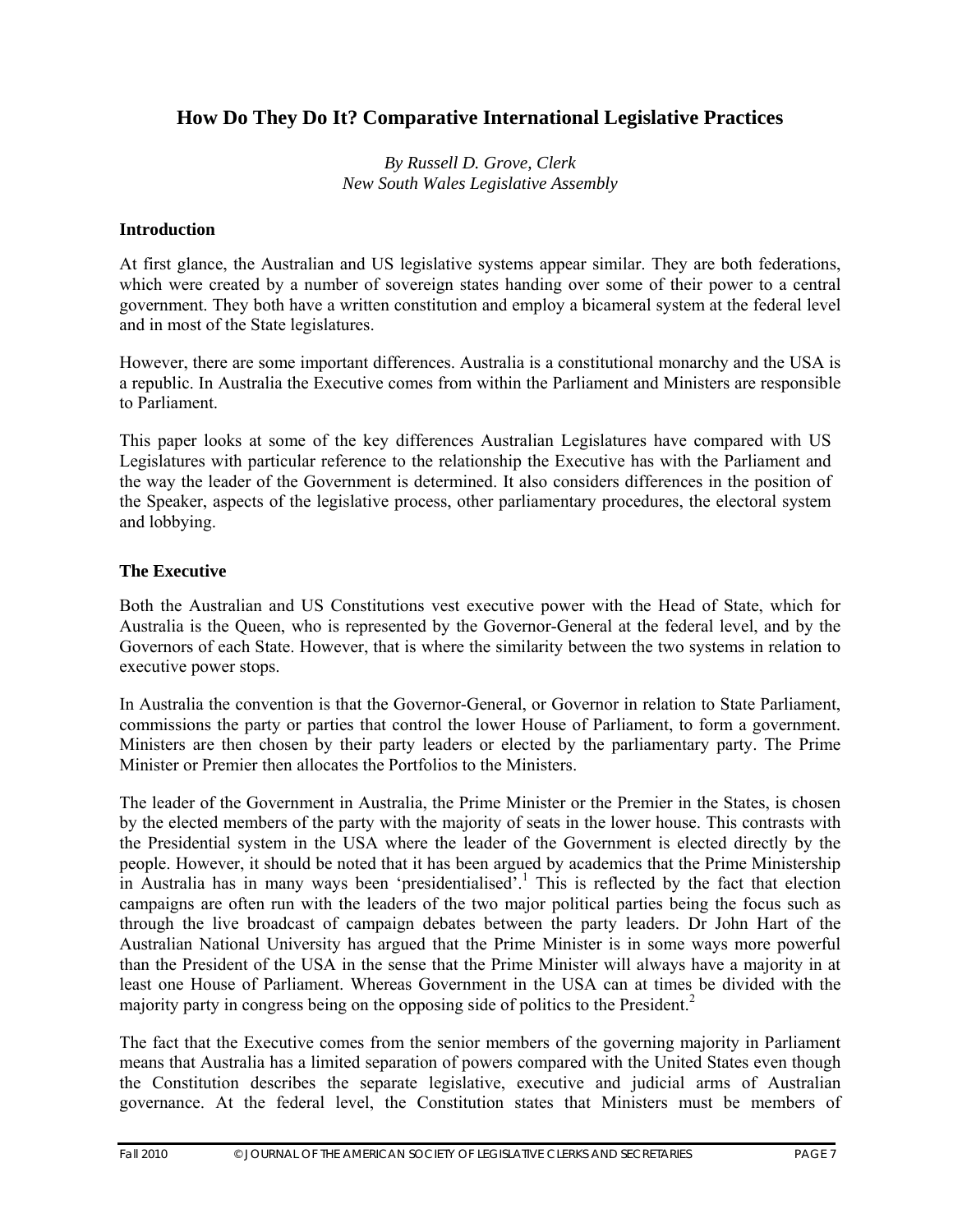## **How Do They Do It? Comparative International Legislative Practices**

*By Russell D. Grove, Clerk New South Wales Legislative Assembly* 

#### **Introduction**

At first glance, the Australian and US legislative systems appear similar. They are both federations, which were created by a number of sovereign states handing over some of their power to a central government. They both have a written constitution and employ a bicameral system at the federal level and in most of the State legislatures.

However, there are some important differences. Australia is a constitutional monarchy and the USA is a republic. In Australia the Executive comes from within the Parliament and Ministers are responsible to Parliament.

This paper looks at some of the key differences Australian Legislatures have compared with US Legislatures with particular reference to the relationship the Executive has with the Parliament and the way the leader of the Government is determined. It also considers differences in the position of the Speaker, aspects of the legislative process, other parliamentary procedures, the electoral system and lobbying.

#### **The Executive**

Both the Australian and US Constitutions vest executive power with the Head of State, which for Australia is the Queen, who is represented by the Governor-General at the federal level, and by the Governors of each State. However, that is where the similarity between the two systems in relation to executive power stops.

In Australia the convention is that the Governor-General, or Governor in relation to State Parliament, commissions the party or parties that control the lower House of Parliament, to form a government. Ministers are then chosen by their party leaders or elected by the parliamentary party. The Prime Minister or Premier then allocates the Portfolios to the Ministers.

The leader of the Government in Australia, the Prime Minister or the Premier in the States, is chosen by the elected members of the party with the majority of seats in the lower house. This contrasts with the Presidential system in the USA where the leader of the Government is elected directly by the people. However, it should be noted that it has been argued by academics that the Prime Ministership in Australia has in many ways been 'presidentialised'.<sup>1</sup> This is reflected by the fact that election campaigns are often run with the leaders of the two major political parties being the focus such as through the live broadcast of campaign debates between the party leaders. Dr John Hart of the Australian National University has argued that the Prime Minister is in some ways more powerful than the President of the USA in the sense that the Prime Minister will always have a majority in at least one House of Parliament. Whereas Government in the USA can at times be divided with the majority party in congress being on the opposing side of politics to the President.<sup>2</sup>

The fact that the Executive comes from the senior members of the governing majority in Parliament means that Australia has a limited separation of powers compared with the United States even though the Constitution describes the separate legislative, executive and judicial arms of Australian governance. At the federal level, the Constitution states that Ministers must be members of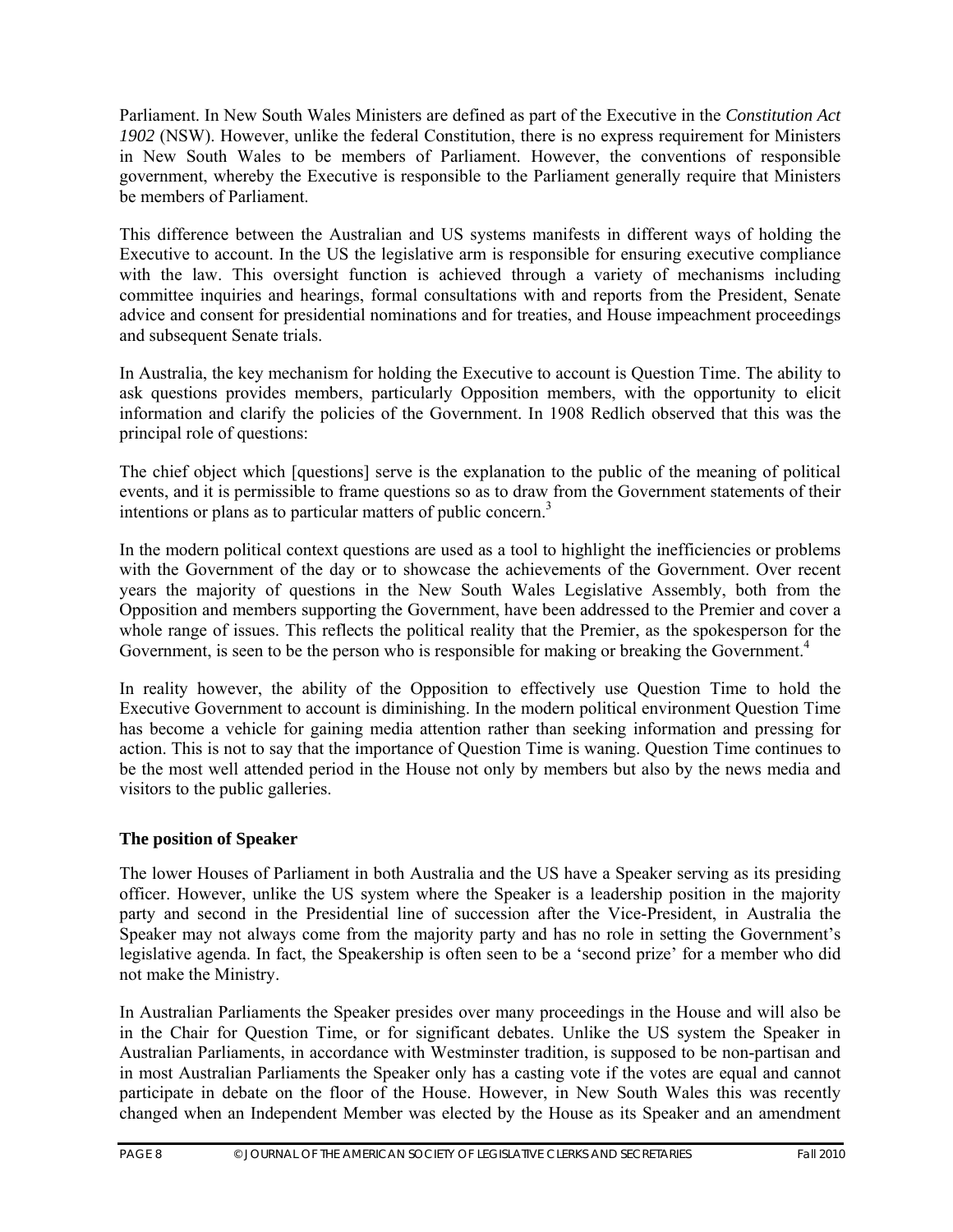Parliament. In New South Wales Ministers are defined as part of the Executive in the *Constitution Act 1902* (NSW). However, unlike the federal Constitution, there is no express requirement for Ministers in New South Wales to be members of Parliament. However, the conventions of responsible government, whereby the Executive is responsible to the Parliament generally require that Ministers be members of Parliament.

This difference between the Australian and US systems manifests in different ways of holding the Executive to account. In the US the legislative arm is responsible for ensuring executive compliance with the law. This oversight function is achieved through a variety of mechanisms including committee inquiries and hearings, formal consultations with and reports from the President, Senate advice and consent for presidential nominations and for treaties, and House impeachment proceedings and subsequent Senate trials.

In Australia, the key mechanism for holding the Executive to account is Question Time. The ability to ask questions provides members, particularly Opposition members, with the opportunity to elicit information and clarify the policies of the Government. In 1908 Redlich observed that this was the principal role of questions:

The chief object which [questions] serve is the explanation to the public of the meaning of political events, and it is permissible to frame questions so as to draw from the Government statements of their intentions or plans as to particular matters of public concern.<sup>3</sup>

In the modern political context questions are used as a tool to highlight the inefficiencies or problems with the Government of the day or to showcase the achievements of the Government. Over recent years the majority of questions in the New South Wales Legislative Assembly, both from the Opposition and members supporting the Government, have been addressed to the Premier and cover a whole range of issues. This reflects the political reality that the Premier, as the spokesperson for the Government, is seen to be the person who is responsible for making or breaking the Government.<sup>4</sup>

In reality however, the ability of the Opposition to effectively use Question Time to hold the Executive Government to account is diminishing. In the modern political environment Question Time has become a vehicle for gaining media attention rather than seeking information and pressing for action. This is not to say that the importance of Question Time is waning. Question Time continues to be the most well attended period in the House not only by members but also by the news media and visitors to the public galleries.

#### **The position of Speaker**

The lower Houses of Parliament in both Australia and the US have a Speaker serving as its presiding officer. However, unlike the US system where the Speaker is a leadership position in the majority party and second in the Presidential line of succession after the Vice-President, in Australia the Speaker may not always come from the majority party and has no role in setting the Government's legislative agenda. In fact, the Speakership is often seen to be a 'second prize' for a member who did not make the Ministry.

In Australian Parliaments the Speaker presides over many proceedings in the House and will also be in the Chair for Question Time, or for significant debates. Unlike the US system the Speaker in Australian Parliaments, in accordance with Westminster tradition, is supposed to be non-partisan and in most Australian Parliaments the Speaker only has a casting vote if the votes are equal and cannot participate in debate on the floor of the House. However, in New South Wales this was recently changed when an Independent Member was elected by the House as its Speaker and an amendment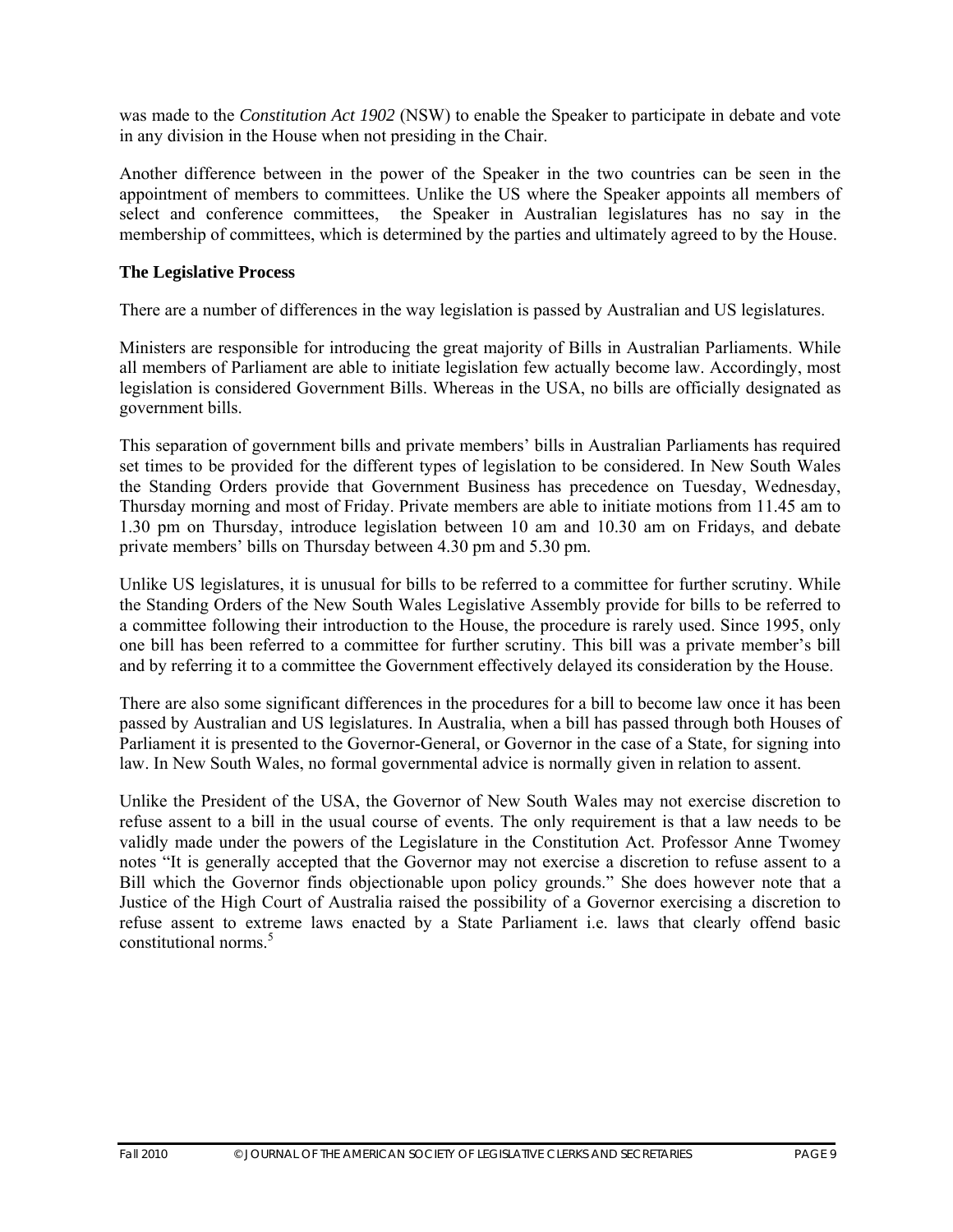was made to the *Constitution Act 1902* (NSW) to enable the Speaker to participate in debate and vote in any division in the House when not presiding in the Chair.

Another difference between in the power of the Speaker in the two countries can be seen in the appointment of members to committees. Unlike the US where the Speaker appoints all members of select and conference committees, the Speaker in Australian legislatures has no say in the membership of committees, which is determined by the parties and ultimately agreed to by the House.

#### **The Legislative Process**

There are a number of differences in the way legislation is passed by Australian and US legislatures.

Ministers are responsible for introducing the great majority of Bills in Australian Parliaments. While all members of Parliament are able to initiate legislation few actually become law. Accordingly, most legislation is considered Government Bills. Whereas in the USA, no bills are officially designated as government bills.

This separation of government bills and private members' bills in Australian Parliaments has required set times to be provided for the different types of legislation to be considered. In New South Wales the Standing Orders provide that Government Business has precedence on Tuesday, Wednesday, Thursday morning and most of Friday. Private members are able to initiate motions from 11.45 am to 1.30 pm on Thursday, introduce legislation between 10 am and 10.30 am on Fridays, and debate private members' bills on Thursday between 4.30 pm and 5.30 pm.

Unlike US legislatures, it is unusual for bills to be referred to a committee for further scrutiny. While the Standing Orders of the New South Wales Legislative Assembly provide for bills to be referred to a committee following their introduction to the House, the procedure is rarely used. Since 1995, only one bill has been referred to a committee for further scrutiny. This bill was a private member's bill and by referring it to a committee the Government effectively delayed its consideration by the House.

There are also some significant differences in the procedures for a bill to become law once it has been passed by Australian and US legislatures. In Australia, when a bill has passed through both Houses of Parliament it is presented to the Governor-General, or Governor in the case of a State, for signing into law. In New South Wales, no formal governmental advice is normally given in relation to assent.

Unlike the President of the USA, the Governor of New South Wales may not exercise discretion to refuse assent to a bill in the usual course of events. The only requirement is that a law needs to be validly made under the powers of the Legislature in the Constitution Act. Professor Anne Twomey notes "It is generally accepted that the Governor may not exercise a discretion to refuse assent to a Bill which the Governor finds objectionable upon policy grounds." She does however note that a Justice of the High Court of Australia raised the possibility of a Governor exercising a discretion to refuse assent to extreme laws enacted by a State Parliament i.e. laws that clearly offend basic constitutional norms $<sup>5</sup>$ </sup>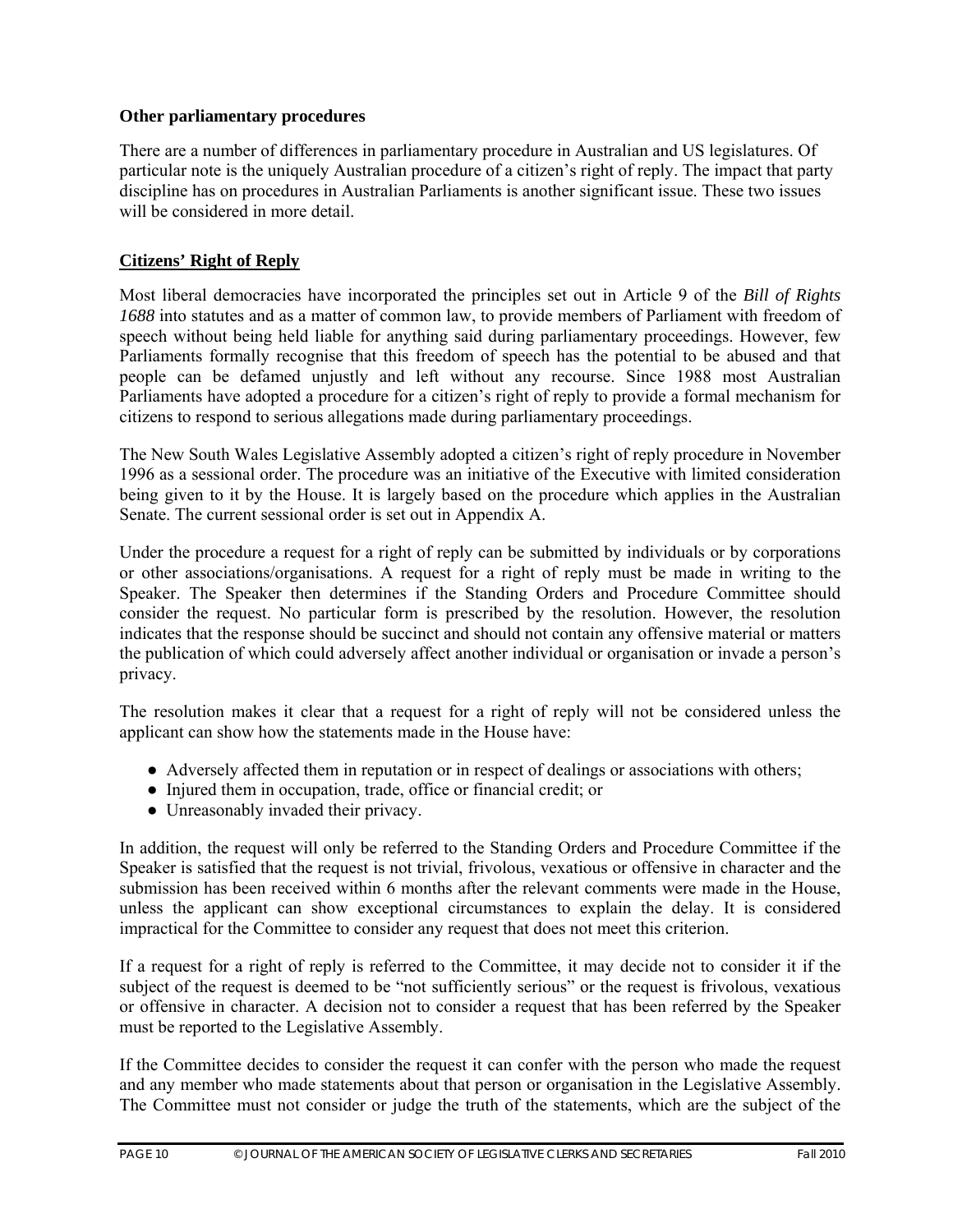#### **Other parliamentary procedures**

There are a number of differences in parliamentary procedure in Australian and US legislatures. Of particular note is the uniquely Australian procedure of a citizen's right of reply. The impact that party discipline has on procedures in Australian Parliaments is another significant issue. These two issues will be considered in more detail.

#### **Citizens' Right of Reply**

Most liberal democracies have incorporated the principles set out in Article 9 of the *Bill of Rights 1688* into statutes and as a matter of common law, to provide members of Parliament with freedom of speech without being held liable for anything said during parliamentary proceedings. However, few Parliaments formally recognise that this freedom of speech has the potential to be abused and that people can be defamed unjustly and left without any recourse. Since 1988 most Australian Parliaments have adopted a procedure for a citizen's right of reply to provide a formal mechanism for citizens to respond to serious allegations made during parliamentary proceedings.

The New South Wales Legislative Assembly adopted a citizen's right of reply procedure in November 1996 as a sessional order. The procedure was an initiative of the Executive with limited consideration being given to it by the House. It is largely based on the procedure which applies in the Australian Senate. The current sessional order is set out in Appendix A.

Under the procedure a request for a right of reply can be submitted by individuals or by corporations or other associations/organisations. A request for a right of reply must be made in writing to the Speaker. The Speaker then determines if the Standing Orders and Procedure Committee should consider the request. No particular form is prescribed by the resolution. However, the resolution indicates that the response should be succinct and should not contain any offensive material or matters the publication of which could adversely affect another individual or organisation or invade a person's privacy.

The resolution makes it clear that a request for a right of reply will not be considered unless the applicant can show how the statements made in the House have:

- Adversely affected them in reputation or in respect of dealings or associations with others;
- Injured them in occupation, trade, office or financial credit; or
- Unreasonably invaded their privacy.

In addition, the request will only be referred to the Standing Orders and Procedure Committee if the Speaker is satisfied that the request is not trivial, frivolous, vexatious or offensive in character and the submission has been received within 6 months after the relevant comments were made in the House, unless the applicant can show exceptional circumstances to explain the delay. It is considered impractical for the Committee to consider any request that does not meet this criterion.

If a request for a right of reply is referred to the Committee, it may decide not to consider it if the subject of the request is deemed to be "not sufficiently serious" or the request is frivolous, vexatious or offensive in character. A decision not to consider a request that has been referred by the Speaker must be reported to the Legislative Assembly.

If the Committee decides to consider the request it can confer with the person who made the request and any member who made statements about that person or organisation in the Legislative Assembly. The Committee must not consider or judge the truth of the statements, which are the subject of the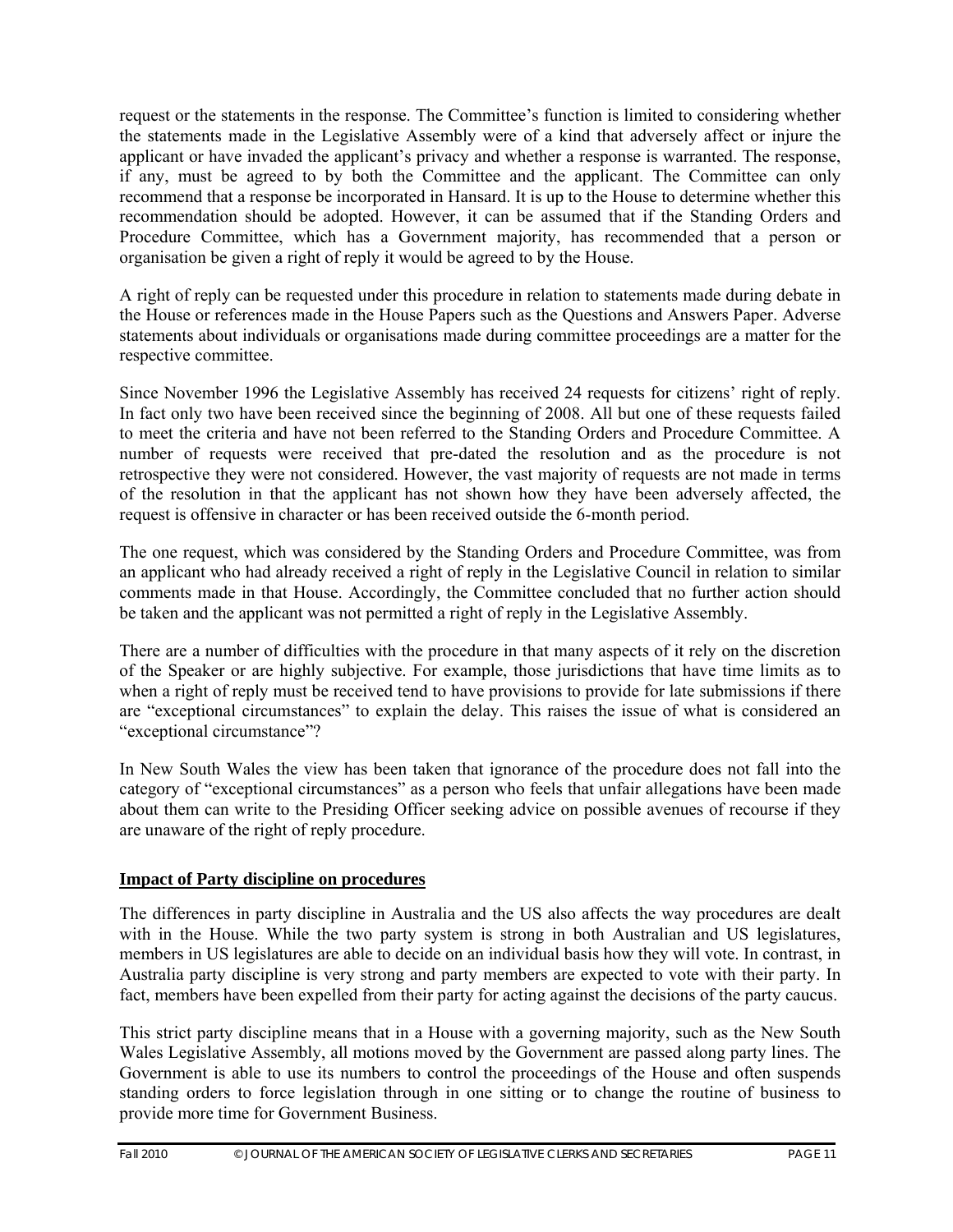request or the statements in the response. The Committee's function is limited to considering whether the statements made in the Legislative Assembly were of a kind that adversely affect or injure the applicant or have invaded the applicant's privacy and whether a response is warranted. The response, if any, must be agreed to by both the Committee and the applicant. The Committee can only recommend that a response be incorporated in Hansard. It is up to the House to determine whether this recommendation should be adopted. However, it can be assumed that if the Standing Orders and Procedure Committee, which has a Government majority, has recommended that a person or organisation be given a right of reply it would be agreed to by the House.

A right of reply can be requested under this procedure in relation to statements made during debate in the House or references made in the House Papers such as the Questions and Answers Paper. Adverse statements about individuals or organisations made during committee proceedings are a matter for the respective committee.

Since November 1996 the Legislative Assembly has received 24 requests for citizens' right of reply. In fact only two have been received since the beginning of 2008. All but one of these requests failed to meet the criteria and have not been referred to the Standing Orders and Procedure Committee. A number of requests were received that pre-dated the resolution and as the procedure is not retrospective they were not considered. However, the vast majority of requests are not made in terms of the resolution in that the applicant has not shown how they have been adversely affected, the request is offensive in character or has been received outside the 6-month period.

The one request, which was considered by the Standing Orders and Procedure Committee, was from an applicant who had already received a right of reply in the Legislative Council in relation to similar comments made in that House. Accordingly, the Committee concluded that no further action should be taken and the applicant was not permitted a right of reply in the Legislative Assembly.

There are a number of difficulties with the procedure in that many aspects of it rely on the discretion of the Speaker or are highly subjective. For example, those jurisdictions that have time limits as to when a right of reply must be received tend to have provisions to provide for late submissions if there are "exceptional circumstances" to explain the delay. This raises the issue of what is considered an "exceptional circumstance"?

In New South Wales the view has been taken that ignorance of the procedure does not fall into the category of "exceptional circumstances" as a person who feels that unfair allegations have been made about them can write to the Presiding Officer seeking advice on possible avenues of recourse if they are unaware of the right of reply procedure.

#### **Impact of Party discipline on procedures**

The differences in party discipline in Australia and the US also affects the way procedures are dealt with in the House. While the two party system is strong in both Australian and US legislatures, members in US legislatures are able to decide on an individual basis how they will vote. In contrast, in Australia party discipline is very strong and party members are expected to vote with their party. In fact, members have been expelled from their party for acting against the decisions of the party caucus.

This strict party discipline means that in a House with a governing majority, such as the New South Wales Legislative Assembly, all motions moved by the Government are passed along party lines. The Government is able to use its numbers to control the proceedings of the House and often suspends standing orders to force legislation through in one sitting or to change the routine of business to provide more time for Government Business.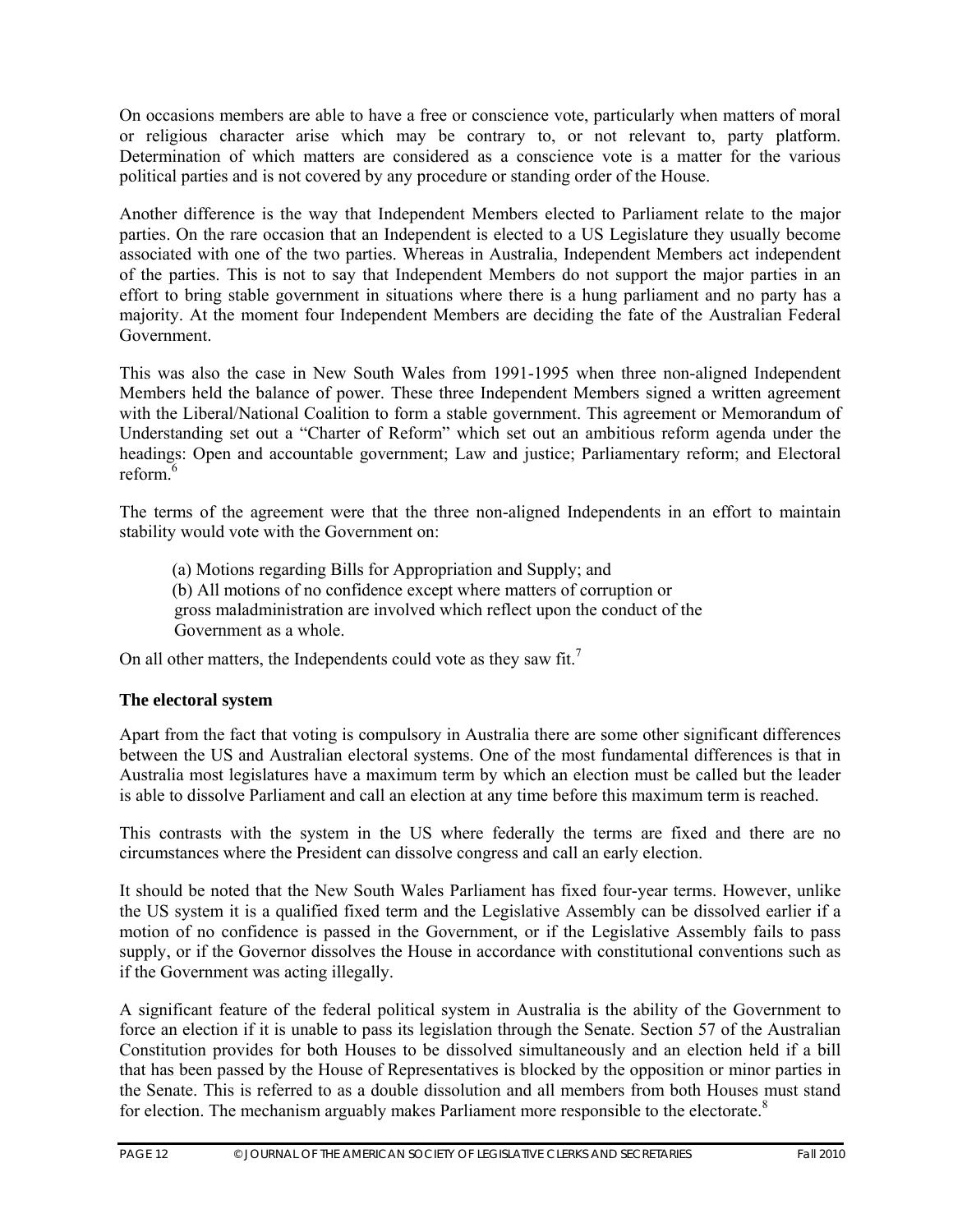On occasions members are able to have a free or conscience vote, particularly when matters of moral or religious character arise which may be contrary to, or not relevant to, party platform. Determination of which matters are considered as a conscience vote is a matter for the various political parties and is not covered by any procedure or standing order of the House.

Another difference is the way that Independent Members elected to Parliament relate to the major parties. On the rare occasion that an Independent is elected to a US Legislature they usually become associated with one of the two parties. Whereas in Australia, Independent Members act independent of the parties. This is not to say that Independent Members do not support the major parties in an effort to bring stable government in situations where there is a hung parliament and no party has a majority. At the moment four Independent Members are deciding the fate of the Australian Federal Government.

This was also the case in New South Wales from 1991-1995 when three non-aligned Independent Members held the balance of power. These three Independent Members signed a written agreement with the Liberal/National Coalition to form a stable government. This agreement or Memorandum of Understanding set out a "Charter of Reform" which set out an ambitious reform agenda under the headings: Open and accountable government; Law and justice; Parliamentary reform; and Electoral reform<sup>6</sup>

The terms of the agreement were that the three non-aligned Independents in an effort to maintain stability would vote with the Government on:

 (a) Motions regarding Bills for Appropriation and Supply; and (b) All motions of no confidence except where matters of corruption or gross maladministration are involved which reflect upon the conduct of the Government as a whole.

On all other matters, the Independents could vote as they saw fit.<sup>7</sup>

#### **The electoral system**

Apart from the fact that voting is compulsory in Australia there are some other significant differences between the US and Australian electoral systems. One of the most fundamental differences is that in Australia most legislatures have a maximum term by which an election must be called but the leader is able to dissolve Parliament and call an election at any time before this maximum term is reached.

This contrasts with the system in the US where federally the terms are fixed and there are no circumstances where the President can dissolve congress and call an early election.

It should be noted that the New South Wales Parliament has fixed four-year terms. However, unlike the US system it is a qualified fixed term and the Legislative Assembly can be dissolved earlier if a motion of no confidence is passed in the Government, or if the Legislative Assembly fails to pass supply, or if the Governor dissolves the House in accordance with constitutional conventions such as if the Government was acting illegally.

A significant feature of the federal political system in Australia is the ability of the Government to force an election if it is unable to pass its legislation through the Senate. Section 57 of the Australian Constitution provides for both Houses to be dissolved simultaneously and an election held if a bill that has been passed by the House of Representatives is blocked by the opposition or minor parties in the Senate. This is referred to as a double dissolution and all members from both Houses must stand for election. The mechanism arguably makes Parliament more responsible to the electorate. $8$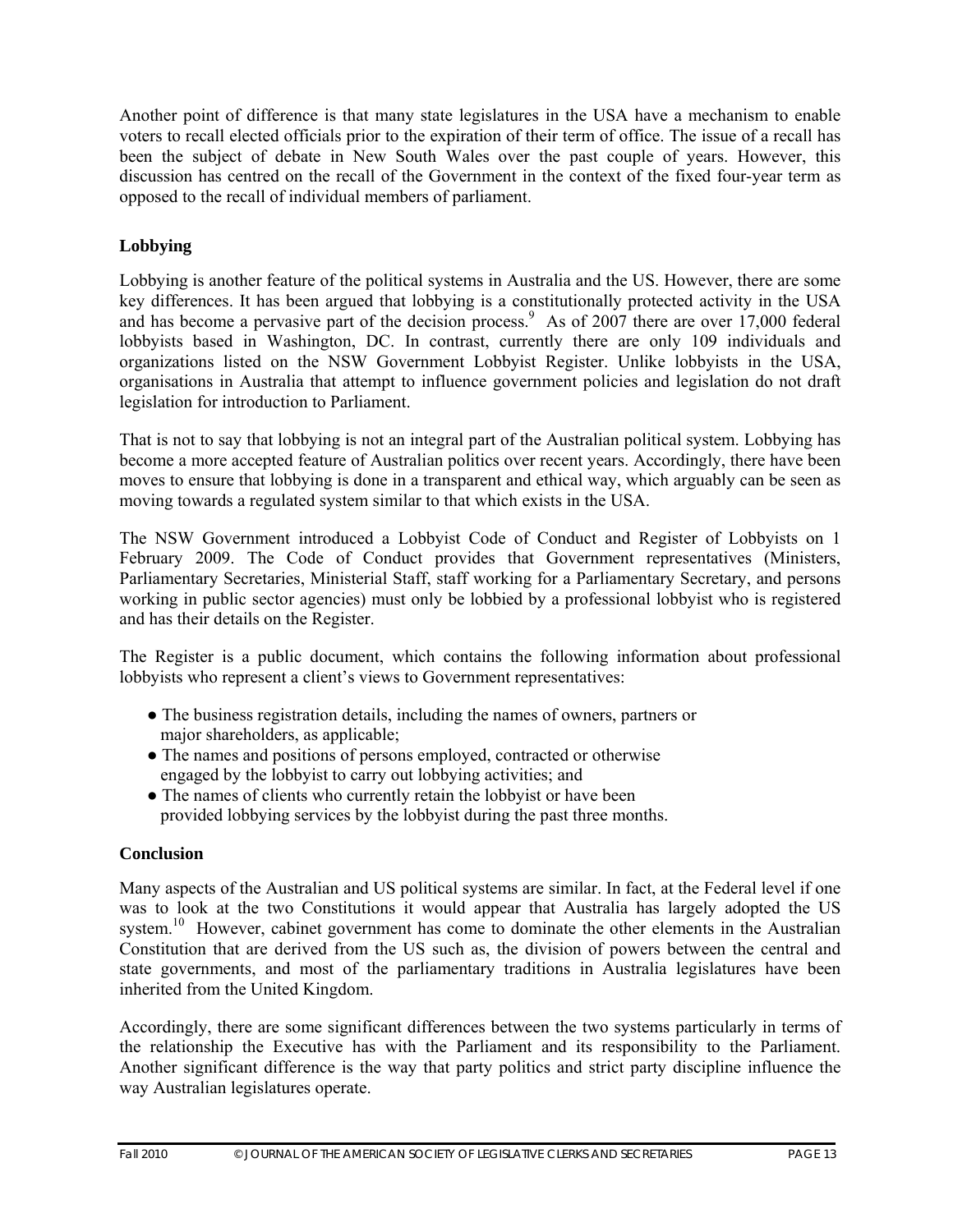Another point of difference is that many state legislatures in the USA have a mechanism to enable voters to recall elected officials prior to the expiration of their term of office. The issue of a recall has been the subject of debate in New South Wales over the past couple of years. However, this discussion has centred on the recall of the Government in the context of the fixed four-year term as opposed to the recall of individual members of parliament.

#### **Lobbying**

Lobbying is another feature of the political systems in Australia and the US. However, there are some key differences. It has been argued that lobbying is a constitutionally protected activity in the USA and has become a pervasive part of the decision process.<sup>9</sup> As of 2007 there are over 17,000 federal lobbyists based in Washington, DC. In contrast, currently there are only 109 individuals and organizations listed on the NSW Government Lobbyist Register. Unlike lobbyists in the USA, organisations in Australia that attempt to influence government policies and legislation do not draft legislation for introduction to Parliament.

That is not to say that lobbying is not an integral part of the Australian political system. Lobbying has become a more accepted feature of Australian politics over recent years. Accordingly, there have been moves to ensure that lobbying is done in a transparent and ethical way, which arguably can be seen as moving towards a regulated system similar to that which exists in the USA.

The NSW Government introduced a Lobbyist Code of Conduct and Register of Lobbyists on 1 February 2009. The Code of Conduct provides that Government representatives (Ministers, Parliamentary Secretaries, Ministerial Staff, staff working for a Parliamentary Secretary, and persons working in public sector agencies) must only be lobbied by a professional lobbyist who is registered and has their details on the Register.

The Register is a public document, which contains the following information about professional lobbyists who represent a client's views to Government representatives:

- The business registration details, including the names of owners, partners or major shareholders, as applicable;
- The names and positions of persons employed, contracted or otherwise engaged by the lobbyist to carry out lobbying activities; and
- The names of clients who currently retain the lobbyist or have been provided lobbying services by the lobbyist during the past three months.

#### **Conclusion**

Many aspects of the Australian and US political systems are similar. In fact, at the Federal level if one was to look at the two Constitutions it would appear that Australia has largely adopted the US system.<sup>10</sup> However, cabinet government has come to dominate the other elements in the Australian Constitution that are derived from the US such as, the division of powers between the central and state governments, and most of the parliamentary traditions in Australia legislatures have been inherited from the United Kingdom.

Accordingly, there are some significant differences between the two systems particularly in terms of the relationship the Executive has with the Parliament and its responsibility to the Parliament. Another significant difference is the way that party politics and strict party discipline influence the way Australian legislatures operate.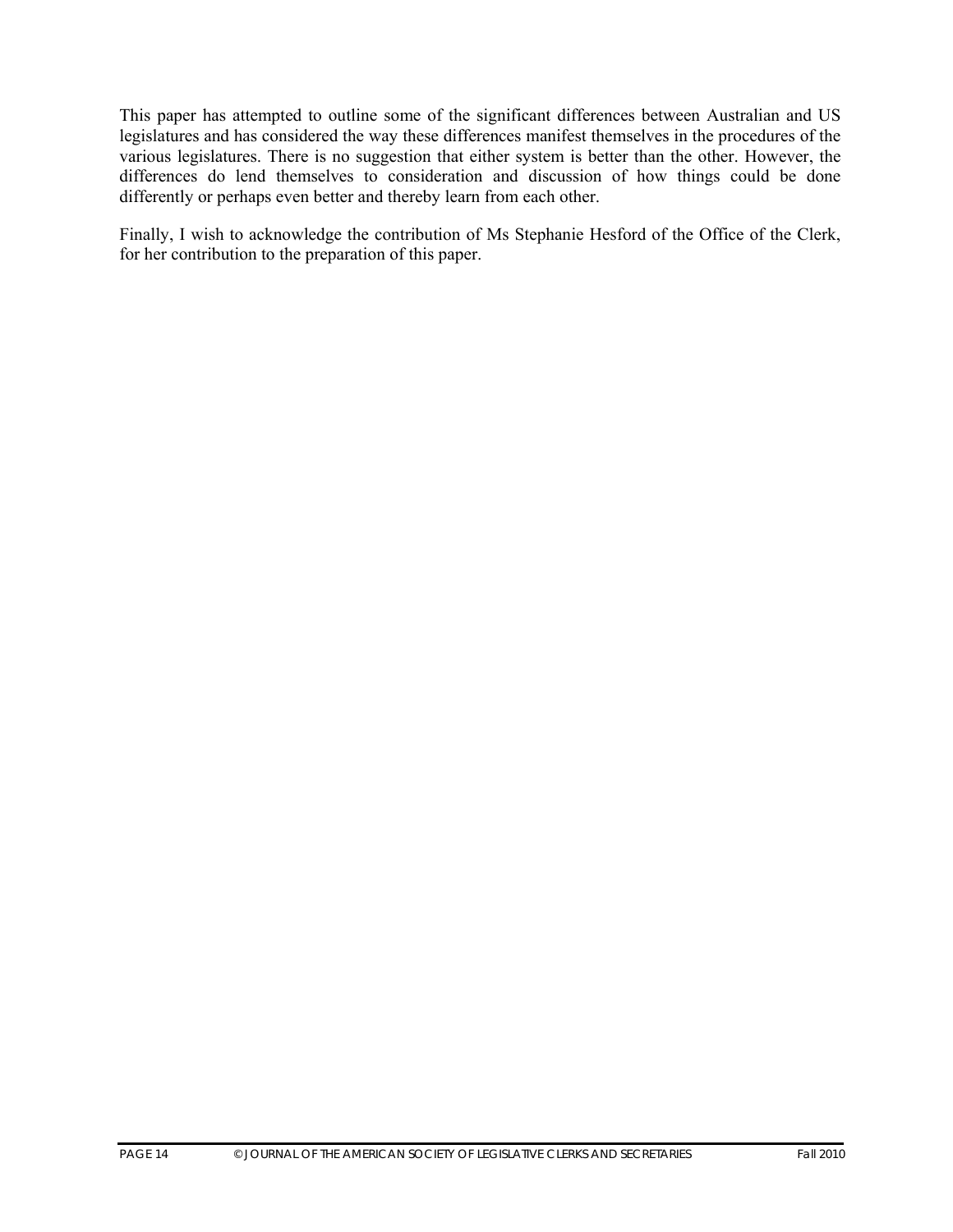This paper has attempted to outline some of the significant differences between Australian and US legislatures and has considered the way these differences manifest themselves in the procedures of the various legislatures. There is no suggestion that either system is better than the other. However, the differences do lend themselves to consideration and discussion of how things could be done differently or perhaps even better and thereby learn from each other.

Finally, I wish to acknowledge the contribution of Ms Stephanie Hesford of the Office of the Clerk, for her contribution to the preparation of this paper.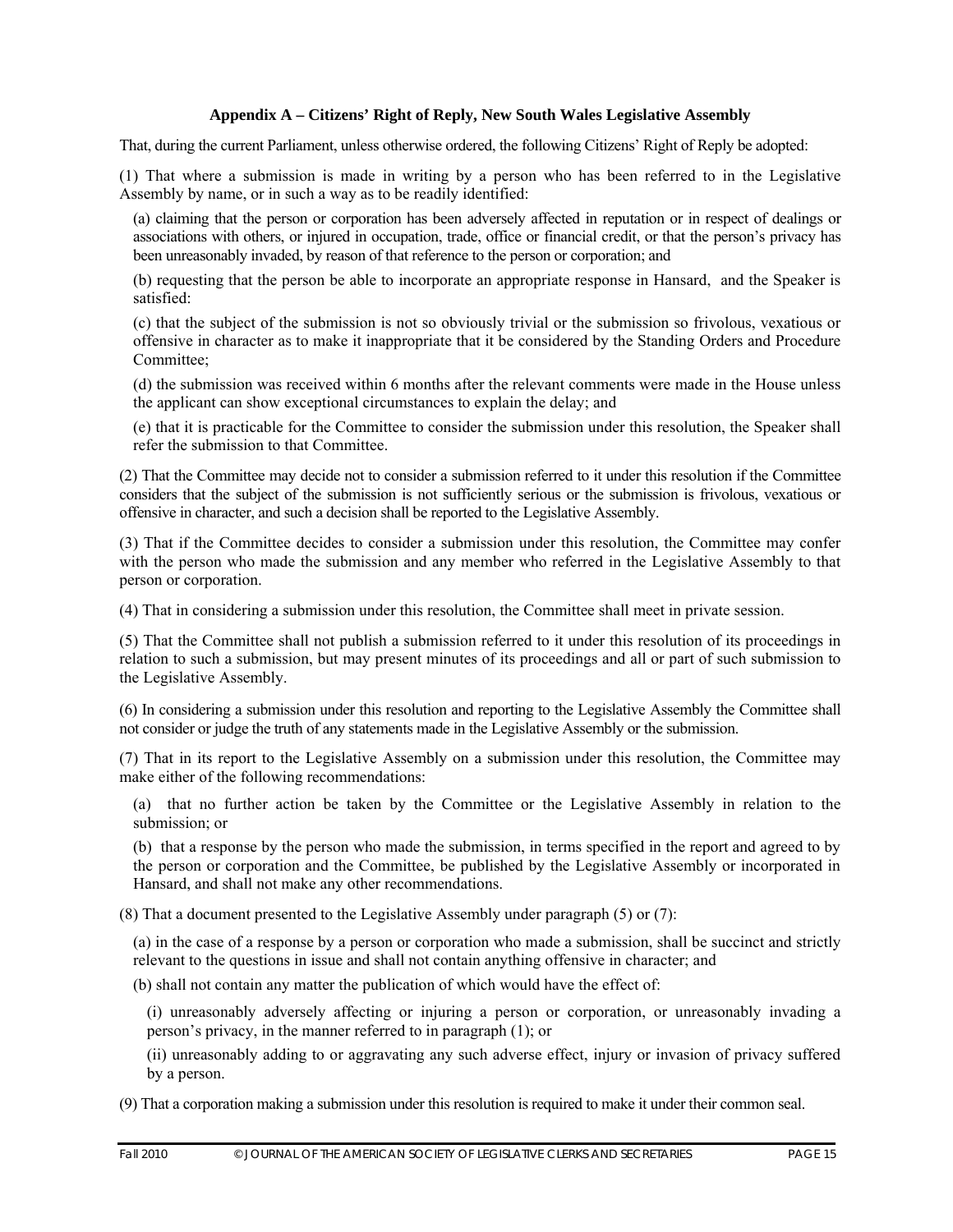#### **Appendix A – Citizens' Right of Reply, New South Wales Legislative Assembly**

That, during the current Parliament, unless otherwise ordered, the following Citizens' Right of Reply be adopted:

(1) That where a submission is made in writing by a person who has been referred to in the Legislative Assembly by name, or in such a way as to be readily identified:

(a) claiming that the person or corporation has been adversely affected in reputation or in respect of dealings or associations with others, or injured in occupation, trade, office or financial credit, or that the person's privacy has been unreasonably invaded, by reason of that reference to the person or corporation; and

(b) requesting that the person be able to incorporate an appropriate response in Hansard, and the Speaker is satisfied:

(c) that the subject of the submission is not so obviously trivial or the submission so frivolous, vexatious or offensive in character as to make it inappropriate that it be considered by the Standing Orders and Procedure Committee;

(d) the submission was received within 6 months after the relevant comments were made in the House unless the applicant can show exceptional circumstances to explain the delay; and

(e) that it is practicable for the Committee to consider the submission under this resolution, the Speaker shall refer the submission to that Committee.

(2) That the Committee may decide not to consider a submission referred to it under this resolution if the Committee considers that the subject of the submission is not sufficiently serious or the submission is frivolous, vexatious or offensive in character, and such a decision shall be reported to the Legislative Assembly.

(3) That if the Committee decides to consider a submission under this resolution, the Committee may confer with the person who made the submission and any member who referred in the Legislative Assembly to that person or corporation.

(4) That in considering a submission under this resolution, the Committee shall meet in private session.

(5) That the Committee shall not publish a submission referred to it under this resolution of its proceedings in relation to such a submission, but may present minutes of its proceedings and all or part of such submission to the Legislative Assembly.

(6) In considering a submission under this resolution and reporting to the Legislative Assembly the Committee shall not consider or judge the truth of any statements made in the Legislative Assembly or the submission.

(7) That in its report to the Legislative Assembly on a submission under this resolution, the Committee may make either of the following recommendations:

(a) that no further action be taken by the Committee or the Legislative Assembly in relation to the submission; or

(b) that a response by the person who made the submission, in terms specified in the report and agreed to by the person or corporation and the Committee, be published by the Legislative Assembly or incorporated in Hansard, and shall not make any other recommendations.

(8) That a document presented to the Legislative Assembly under paragraph (5) or (7):

(a) in the case of a response by a person or corporation who made a submission, shall be succinct and strictly relevant to the questions in issue and shall not contain anything offensive in character; and

(b) shall not contain any matter the publication of which would have the effect of:

(i) unreasonably adversely affecting or injuring a person or corporation, or unreasonably invading a person's privacy, in the manner referred to in paragraph (1); or

(ii) unreasonably adding to or aggravating any such adverse effect, injury or invasion of privacy suffered by a person.

(9) That a corporation making a submission under this resolution is required to make it under their common seal.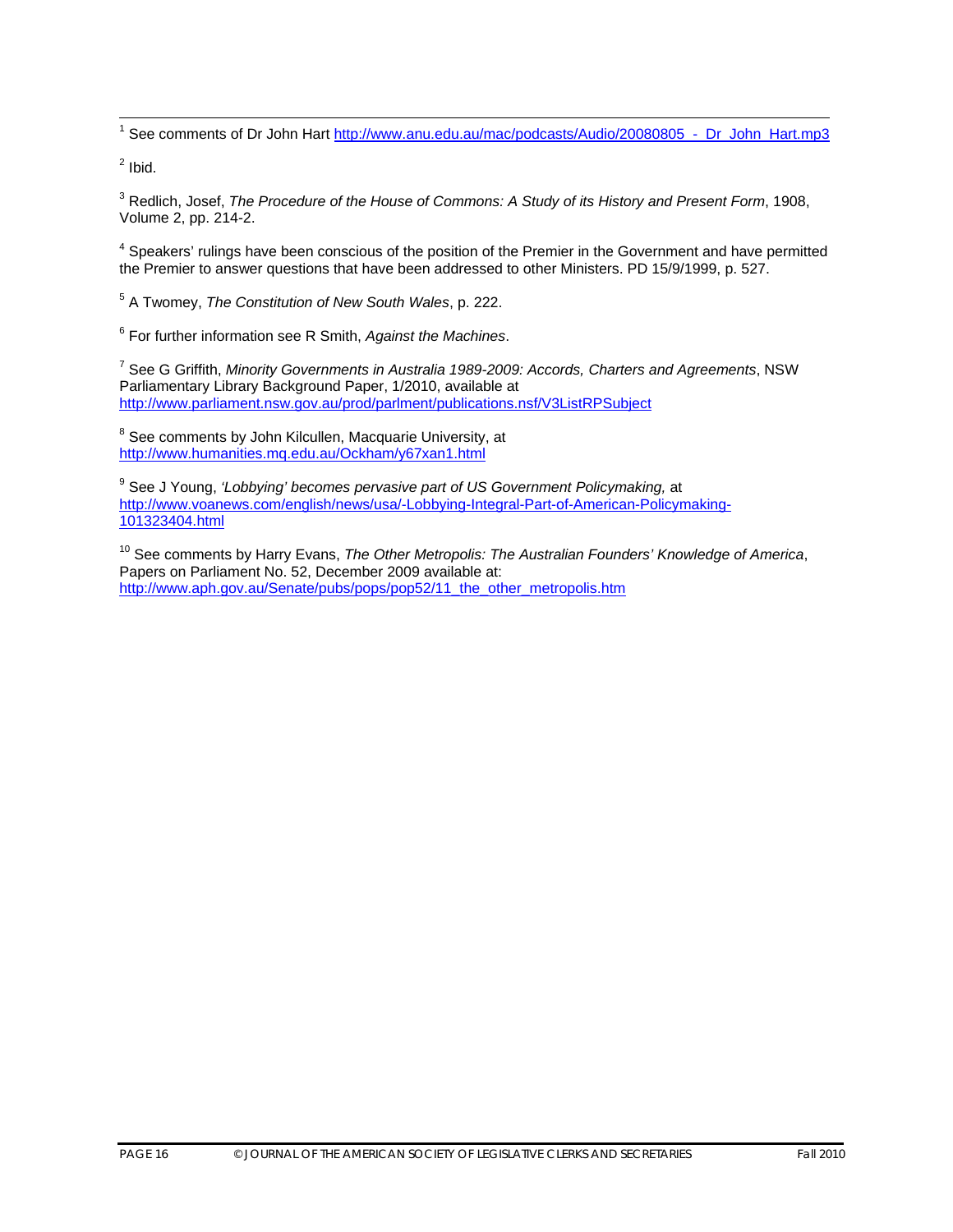1<br><sup>1</sup> See comments of Dr John Hart <u>http://www.anu.edu.au/mac/podcasts/Audio/20080805\_-\_Dr\_John\_Hart.mp3</u>

 $<sup>2</sup>$  Ibid.</sup>

3 Redlich, Josef, *The Procedure of the House of Commons: A Study of its History and Present Form*, 1908, Volume 2, pp. 214-2.

<sup>4</sup> Speakers' rulings have been conscious of the position of the Premier in the Government and have permitted the Premier to answer questions that have been addressed to other Ministers. PD 15/9/1999, p. 527.

5 A Twomey, *The Constitution of New South Wales*, p. 222.

<sup>6</sup> For further information see R Smith, *Against the Machines*.

<sup>7</sup> See G Griffith, *Minority Governments in Australia 1989-2009: Accords, Charters and Agreements*, NSW Parliamentary Library Background Paper, 1/2010, available at http://www.parliament.nsw.gov.au/prod/parlment/publications.nsf/V3ListRPSubject

<sup>8</sup> See comments by John Kilcullen, Macquarie University, at http://www.humanities.mq.edu.au/Ockham/y67xan1.html

<sup>9</sup> See J Young, *'Lobbying' becomes pervasive part of US Government Policymaking, at* http://www.voanews.com/english/news/usa/-Lobbying-Integral-Part-of-American-Policymaking-101323404.html

10 See comments by Harry Evans, *The Other Metropolis: The Australian Founders' Knowledge of America*, Papers on Parliament No. 52, December 2009 available at: http://www.aph.gov.au/Senate/pubs/pops/pop52/11\_the\_other\_metropolis.htm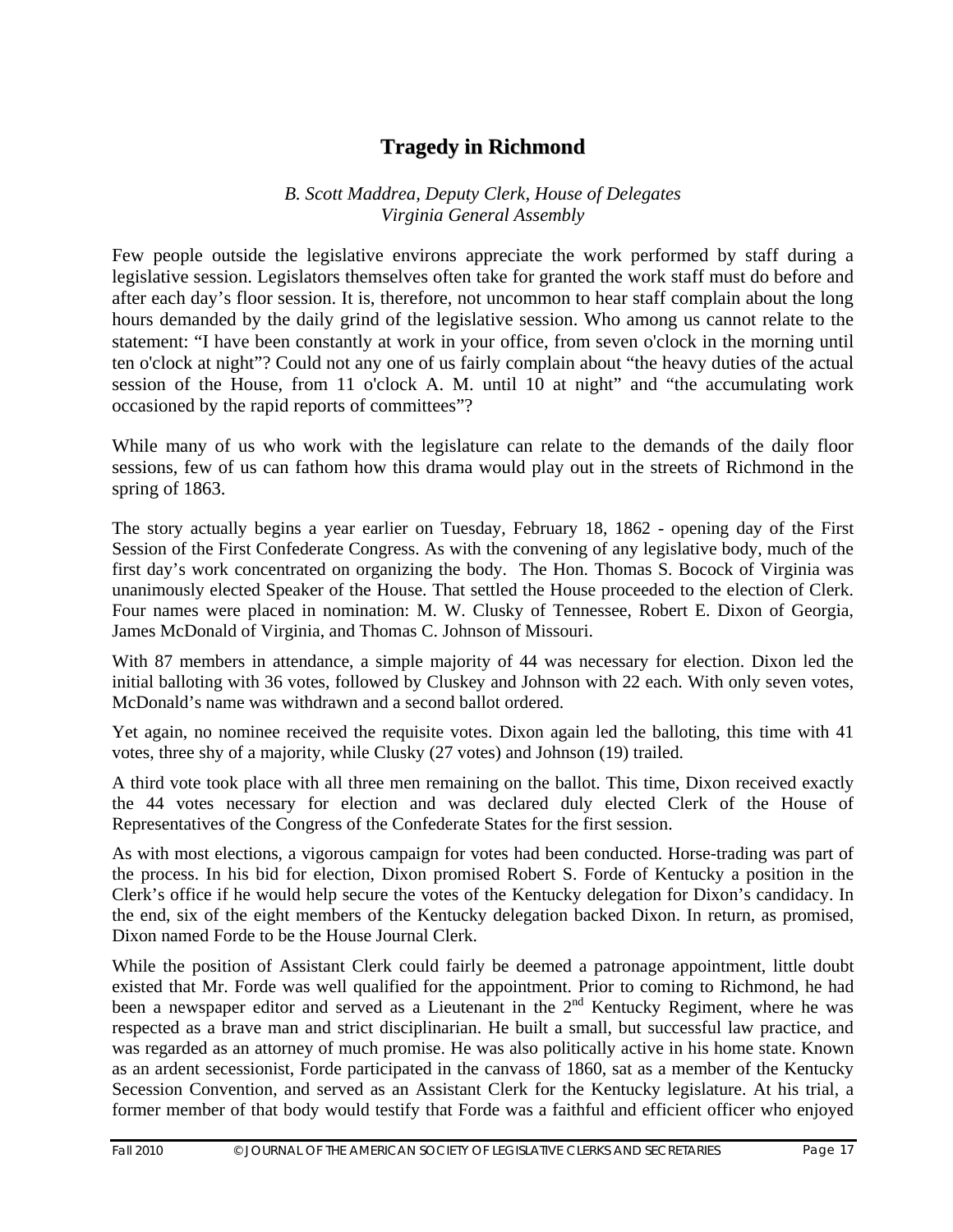# **Tragedy in Richmond**

#### *B. Scott Maddrea, Deputy Clerk, House of Delegates Virginia General Assembly*

Few people outside the legislative environs appreciate the work performed by staff during a legislative session. Legislators themselves often take for granted the work staff must do before and after each day's floor session. It is, therefore, not uncommon to hear staff complain about the long hours demanded by the daily grind of the legislative session. Who among us cannot relate to the statement: "I have been constantly at work in your office, from seven o'clock in the morning until ten o'clock at night"? Could not any one of us fairly complain about "the heavy duties of the actual session of the House, from 11 o'clock A. M. until 10 at night" and "the accumulating work occasioned by the rapid reports of committees"?

While many of us who work with the legislature can relate to the demands of the daily floor sessions, few of us can fathom how this drama would play out in the streets of Richmond in the spring of 1863.

The story actually begins a year earlier on Tuesday, February 18, 1862 - opening day of the First Session of the First Confederate Congress. As with the convening of any legislative body, much of the first day's work concentrated on organizing the body. The Hon. Thomas S. Bocock of Virginia was unanimously elected Speaker of the House. That settled the House proceeded to the election of Clerk. Four names were placed in nomination: M. W. Clusky of Tennessee, Robert E. Dixon of Georgia, James McDonald of Virginia, and Thomas C. Johnson of Missouri.

With 87 members in attendance, a simple majority of 44 was necessary for election. Dixon led the initial balloting with 36 votes, followed by Cluskey and Johnson with 22 each. With only seven votes, McDonald's name was withdrawn and a second ballot ordered.

Yet again, no nominee received the requisite votes. Dixon again led the balloting, this time with 41 votes, three shy of a majority, while Clusky (27 votes) and Johnson (19) trailed.

A third vote took place with all three men remaining on the ballot. This time, Dixon received exactly the 44 votes necessary for election and was declared duly elected Clerk of the House of Representatives of the Congress of the Confederate States for the first session.

As with most elections, a vigorous campaign for votes had been conducted. Horse-trading was part of the process. In his bid for election, Dixon promised Robert S. Forde of Kentucky a position in the Clerk's office if he would help secure the votes of the Kentucky delegation for Dixon's candidacy. In the end, six of the eight members of the Kentucky delegation backed Dixon. In return, as promised, Dixon named Forde to be the House Journal Clerk.

While the position of Assistant Clerk could fairly be deemed a patronage appointment, little doubt existed that Mr. Forde was well qualified for the appointment. Prior to coming to Richmond, he had been a newspaper editor and served as a Lieutenant in the  $2<sup>nd</sup>$  Kentucky Regiment, where he was respected as a brave man and strict disciplinarian. He built a small, but successful law practice, and was regarded as an attorney of much promise. He was also politically active in his home state. Known as an ardent secessionist, Forde participated in the canvass of 1860, sat as a member of the Kentucky Secession Convention, and served as an Assistant Clerk for the Kentucky legislature. At his trial, a former member of that body would testify that Forde was a faithful and efficient officer who enjoyed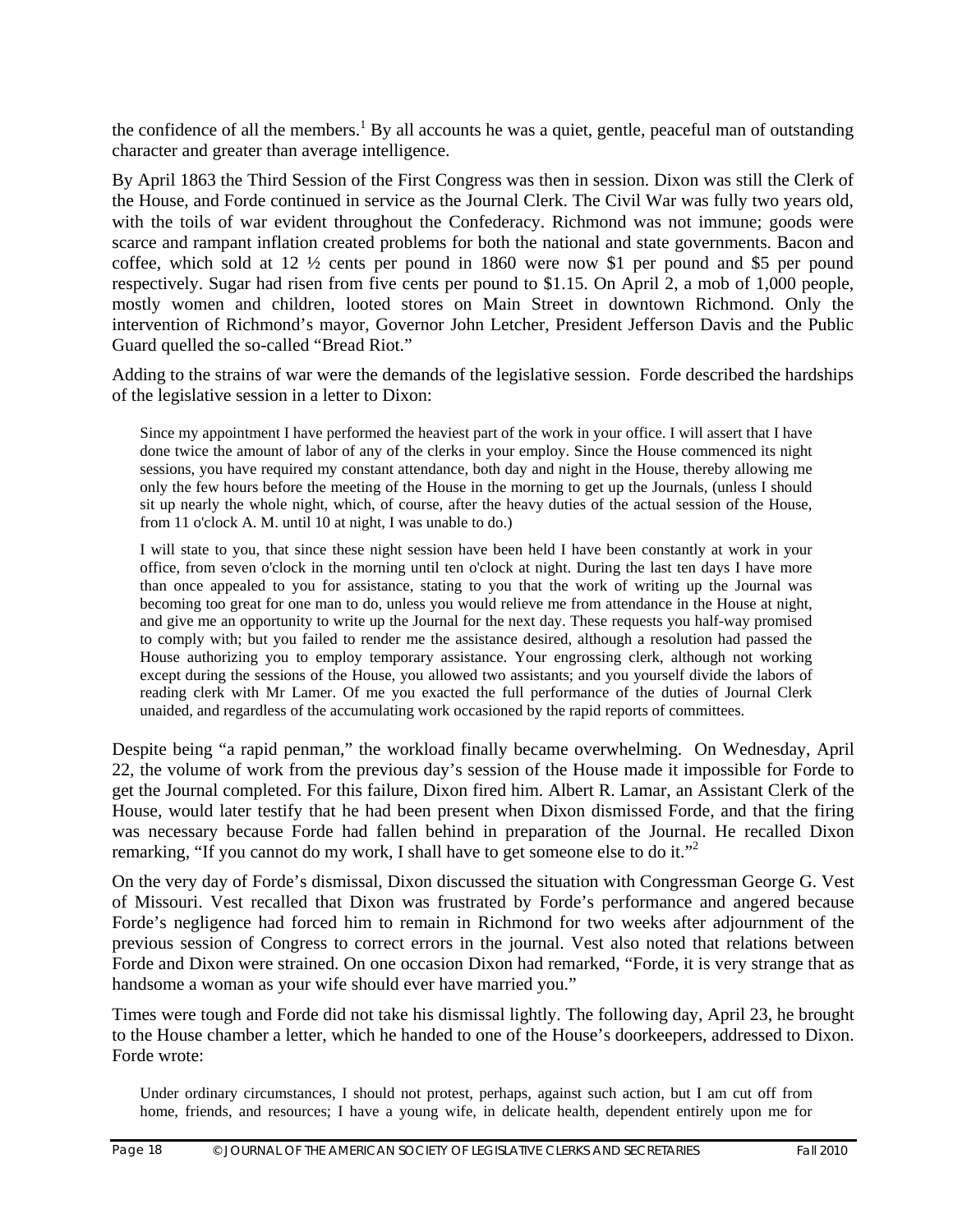the confidence of all the members.<sup>1</sup> By all accounts he was a quiet, gentle, peaceful man of outstanding character and greater than average intelligence.

By April 1863 the Third Session of the First Congress was then in session. Dixon was still the Clerk of the House, and Forde continued in service as the Journal Clerk. The Civil War was fully two years old, with the toils of war evident throughout the Confederacy. Richmond was not immune; goods were scarce and rampant inflation created problems for both the national and state governments. Bacon and coffee, which sold at 12 ½ cents per pound in 1860 were now \$1 per pound and \$5 per pound respectively. Sugar had risen from five cents per pound to \$1.15. On April 2, a mob of 1,000 people, mostly women and children, looted stores on Main Street in downtown Richmond. Only the intervention of Richmond's mayor, Governor John Letcher, President Jefferson Davis and the Public Guard quelled the so-called "Bread Riot."

Adding to the strains of war were the demands of the legislative session. Forde described the hardships of the legislative session in a letter to Dixon:

Since my appointment I have performed the heaviest part of the work in your office. I will assert that I have done twice the amount of labor of any of the clerks in your employ. Since the House commenced its night sessions, you have required my constant attendance, both day and night in the House, thereby allowing me only the few hours before the meeting of the House in the morning to get up the Journals, (unless I should sit up nearly the whole night, which, of course, after the heavy duties of the actual session of the House, from 11 o'clock A. M. until 10 at night, I was unable to do.)

I will state to you, that since these night session have been held I have been constantly at work in your office, from seven o'clock in the morning until ten o'clock at night. During the last ten days I have more than once appealed to you for assistance, stating to you that the work of writing up the Journal was becoming too great for one man to do, unless you would relieve me from attendance in the House at night, and give me an opportunity to write up the Journal for the next day. These requests you half-way promised to comply with; but you failed to render me the assistance desired, although a resolution had passed the House authorizing you to employ temporary assistance. Your engrossing clerk, although not working except during the sessions of the House, you allowed two assistants; and you yourself divide the labors of reading clerk with Mr Lamer. Of me you exacted the full performance of the duties of Journal Clerk unaided, and regardless of the accumulating work occasioned by the rapid reports of committees.

Despite being "a rapid penman," the workload finally became overwhelming. On Wednesday, April 22, the volume of work from the previous day's session of the House made it impossible for Forde to get the Journal completed. For this failure, Dixon fired him. Albert R. Lamar, an Assistant Clerk of the House, would later testify that he had been present when Dixon dismissed Forde, and that the firing was necessary because Forde had fallen behind in preparation of the Journal. He recalled Dixon remarking, "If you cannot do my work, I shall have to get someone else to do it."<sup>2</sup>

On the very day of Forde's dismissal, Dixon discussed the situation with Congressman George G. Vest of Missouri. Vest recalled that Dixon was frustrated by Forde's performance and angered because Forde's negligence had forced him to remain in Richmond for two weeks after adjournment of the previous session of Congress to correct errors in the journal. Vest also noted that relations between Forde and Dixon were strained. On one occasion Dixon had remarked, "Forde, it is very strange that as handsome a woman as your wife should ever have married you."

Times were tough and Forde did not take his dismissal lightly. The following day, April 23, he brought to the House chamber a letter, which he handed to one of the House's doorkeepers, addressed to Dixon. Forde wrote:

Under ordinary circumstances, I should not protest, perhaps, against such action, but I am cut off from home, friends, and resources; I have a young wife, in delicate health, dependent entirely upon me for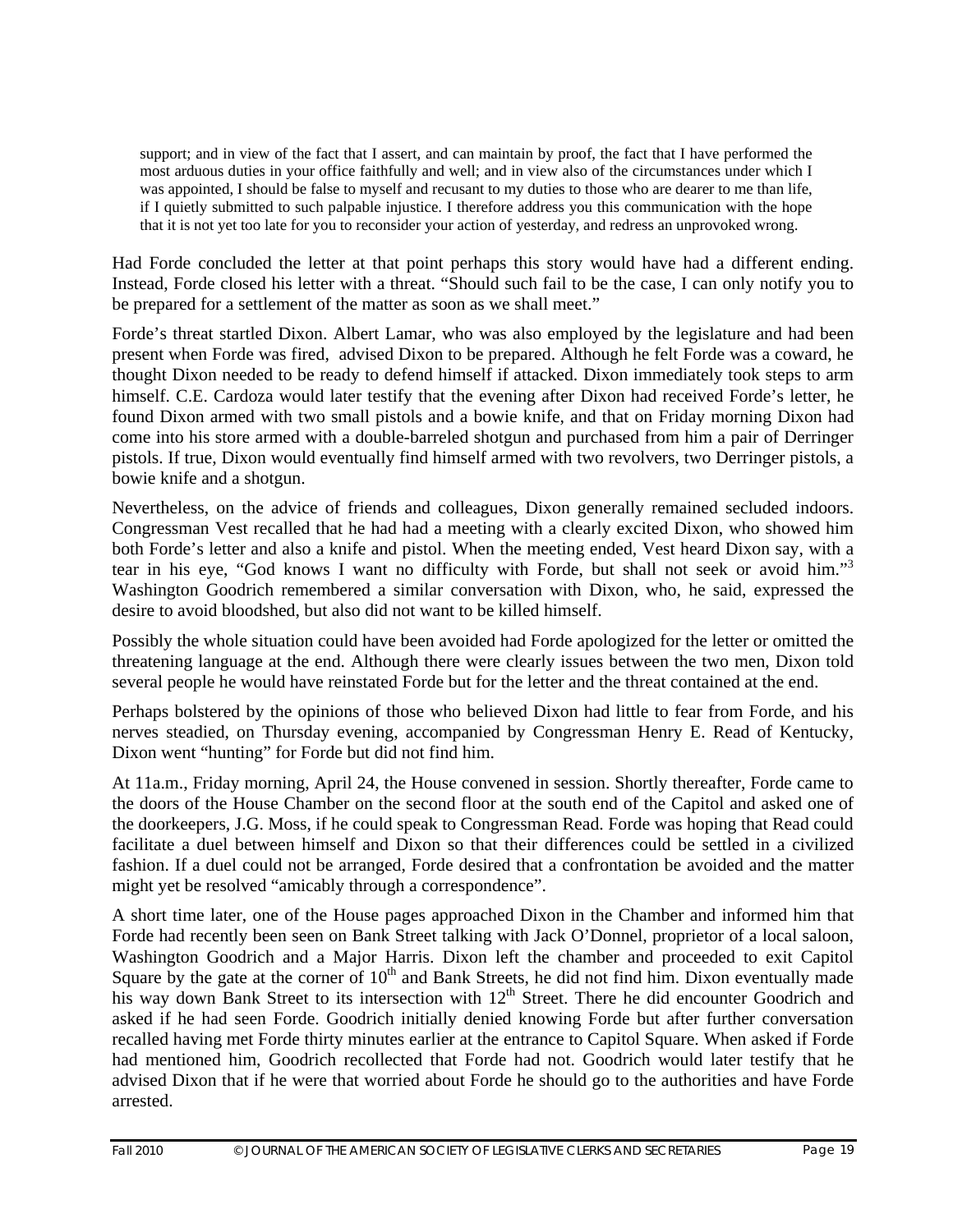support; and in view of the fact that I assert, and can maintain by proof, the fact that I have performed the most arduous duties in your office faithfully and well; and in view also of the circumstances under which I was appointed, I should be false to myself and recusant to my duties to those who are dearer to me than life, if I quietly submitted to such palpable injustice. I therefore address you this communication with the hope that it is not yet too late for you to reconsider your action of yesterday, and redress an unprovoked wrong.

Had Forde concluded the letter at that point perhaps this story would have had a different ending. Instead, Forde closed his letter with a threat. "Should such fail to be the case, I can only notify you to be prepared for a settlement of the matter as soon as we shall meet."

Forde's threat startled Dixon. Albert Lamar, who was also employed by the legislature and had been present when Forde was fired, advised Dixon to be prepared. Although he felt Forde was a coward, he thought Dixon needed to be ready to defend himself if attacked. Dixon immediately took steps to arm himself. C.E. Cardoza would later testify that the evening after Dixon had received Forde's letter, he found Dixon armed with two small pistols and a bowie knife, and that on Friday morning Dixon had come into his store armed with a double-barreled shotgun and purchased from him a pair of Derringer pistols. If true, Dixon would eventually find himself armed with two revolvers, two Derringer pistols, a bowie knife and a shotgun.

Nevertheless, on the advice of friends and colleagues, Dixon generally remained secluded indoors. Congressman Vest recalled that he had had a meeting with a clearly excited Dixon, who showed him both Forde's letter and also a knife and pistol. When the meeting ended, Vest heard Dixon say, with a tear in his eye, "God knows I want no difficulty with Forde, but shall not seek or avoid him."<sup>3</sup> Washington Goodrich remembered a similar conversation with Dixon, who, he said, expressed the desire to avoid bloodshed, but also did not want to be killed himself.

Possibly the whole situation could have been avoided had Forde apologized for the letter or omitted the threatening language at the end. Although there were clearly issues between the two men, Dixon told several people he would have reinstated Forde but for the letter and the threat contained at the end.

Perhaps bolstered by the opinions of those who believed Dixon had little to fear from Forde, and his nerves steadied, on Thursday evening, accompanied by Congressman Henry E. Read of Kentucky, Dixon went "hunting" for Forde but did not find him.

At 11a.m., Friday morning, April 24, the House convened in session. Shortly thereafter, Forde came to the doors of the House Chamber on the second floor at the south end of the Capitol and asked one of the doorkeepers, J.G. Moss, if he could speak to Congressman Read. Forde was hoping that Read could facilitate a duel between himself and Dixon so that their differences could be settled in a civilized fashion. If a duel could not be arranged, Forde desired that a confrontation be avoided and the matter might yet be resolved "amicably through a correspondence".

A short time later, one of the House pages approached Dixon in the Chamber and informed him that Forde had recently been seen on Bank Street talking with Jack O'Donnel, proprietor of a local saloon, Washington Goodrich and a Major Harris. Dixon left the chamber and proceeded to exit Capitol Square by the gate at the corner of  $10<sup>th</sup>$  and Bank Streets, he did not find him. Dixon eventually made his way down Bank Street to its intersection with 12<sup>th</sup> Street. There he did encounter Goodrich and asked if he had seen Forde. Goodrich initially denied knowing Forde but after further conversation recalled having met Forde thirty minutes earlier at the entrance to Capitol Square. When asked if Forde had mentioned him, Goodrich recollected that Forde had not. Goodrich would later testify that he advised Dixon that if he were that worried about Forde he should go to the authorities and have Forde arrested.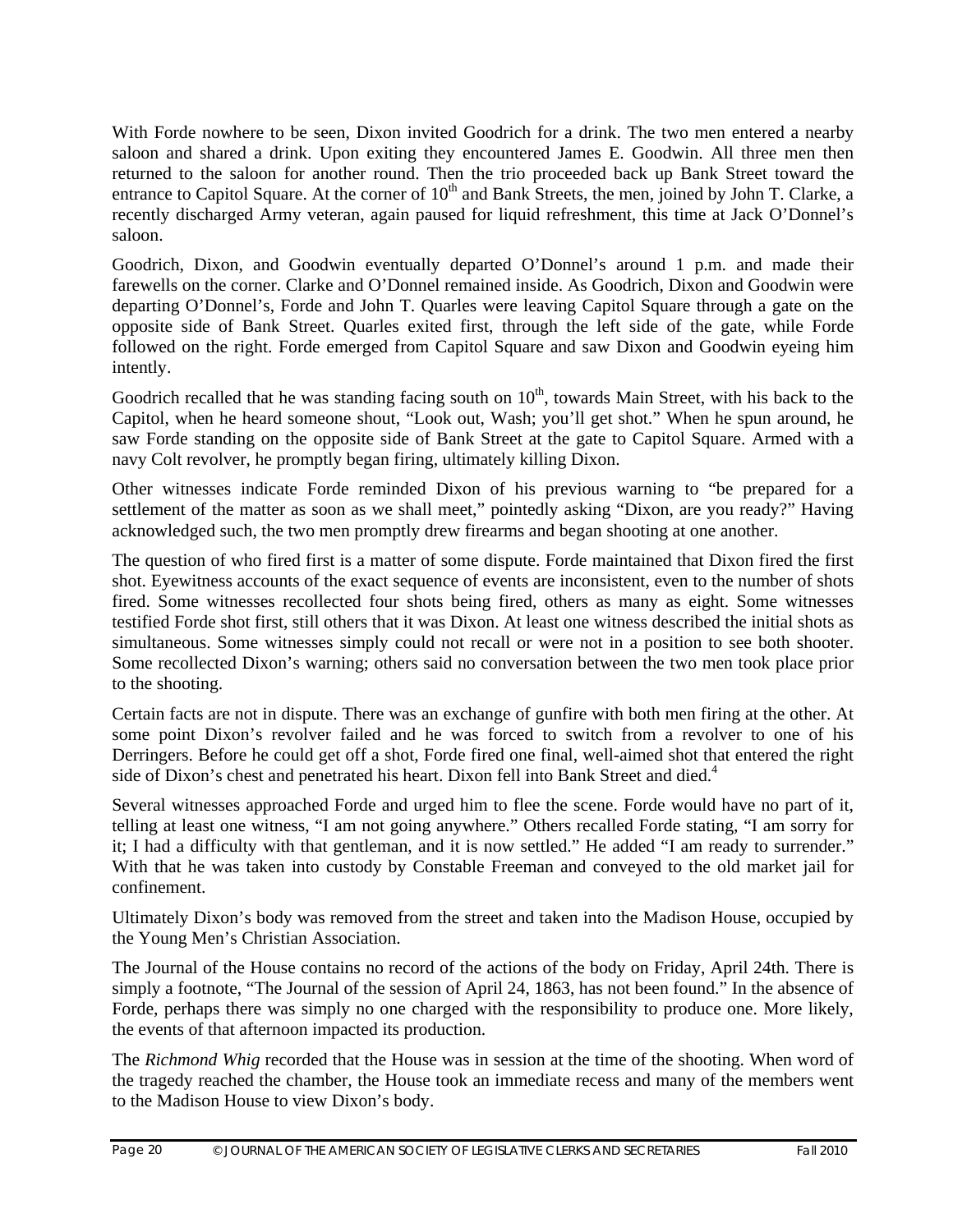With Forde nowhere to be seen, Dixon invited Goodrich for a drink. The two men entered a nearby saloon and shared a drink. Upon exiting they encountered James E. Goodwin. All three men then returned to the saloon for another round. Then the trio proceeded back up Bank Street toward the entrance to Capitol Square. At the corner of  $10<sup>th</sup>$  and Bank Streets, the men, joined by John T. Clarke, a recently discharged Army veteran, again paused for liquid refreshment, this time at Jack O'Donnel's saloon.

Goodrich, Dixon, and Goodwin eventually departed O'Donnel's around 1 p.m. and made their farewells on the corner. Clarke and O'Donnel remained inside. As Goodrich, Dixon and Goodwin were departing O'Donnel's, Forde and John T. Quarles were leaving Capitol Square through a gate on the opposite side of Bank Street. Quarles exited first, through the left side of the gate, while Forde followed on the right. Forde emerged from Capitol Square and saw Dixon and Goodwin eyeing him intently.

Goodrich recalled that he was standing facing south on  $10<sup>th</sup>$ , towards Main Street, with his back to the Capitol, when he heard someone shout, "Look out, Wash; you'll get shot." When he spun around, he saw Forde standing on the opposite side of Bank Street at the gate to Capitol Square. Armed with a navy Colt revolver, he promptly began firing, ultimately killing Dixon.

Other witnesses indicate Forde reminded Dixon of his previous warning to "be prepared for a settlement of the matter as soon as we shall meet," pointedly asking "Dixon, are you ready?" Having acknowledged such, the two men promptly drew firearms and began shooting at one another.

The question of who fired first is a matter of some dispute. Forde maintained that Dixon fired the first shot. Eyewitness accounts of the exact sequence of events are inconsistent, even to the number of shots fired. Some witnesses recollected four shots being fired, others as many as eight. Some witnesses testified Forde shot first, still others that it was Dixon. At least one witness described the initial shots as simultaneous. Some witnesses simply could not recall or were not in a position to see both shooter. Some recollected Dixon's warning; others said no conversation between the two men took place prior to the shooting.

Certain facts are not in dispute. There was an exchange of gunfire with both men firing at the other. At some point Dixon's revolver failed and he was forced to switch from a revolver to one of his Derringers. Before he could get off a shot, Forde fired one final, well-aimed shot that entered the right side of Dixon's chest and penetrated his heart. Dixon fell into Bank Street and died.<sup>4</sup>

Several witnesses approached Forde and urged him to flee the scene. Forde would have no part of it, telling at least one witness, "I am not going anywhere." Others recalled Forde stating, "I am sorry for it; I had a difficulty with that gentleman, and it is now settled." He added "I am ready to surrender." With that he was taken into custody by Constable Freeman and conveyed to the old market jail for confinement.

Ultimately Dixon's body was removed from the street and taken into the Madison House, occupied by the Young Men's Christian Association.

The Journal of the House contains no record of the actions of the body on Friday, April 24th. There is simply a footnote, "The Journal of the session of April 24, 1863, has not been found." In the absence of Forde, perhaps there was simply no one charged with the responsibility to produce one. More likely, the events of that afternoon impacted its production.

The *Richmond Whig* recorded that the House was in session at the time of the shooting. When word of the tragedy reached the chamber, the House took an immediate recess and many of the members went to the Madison House to view Dixon's body.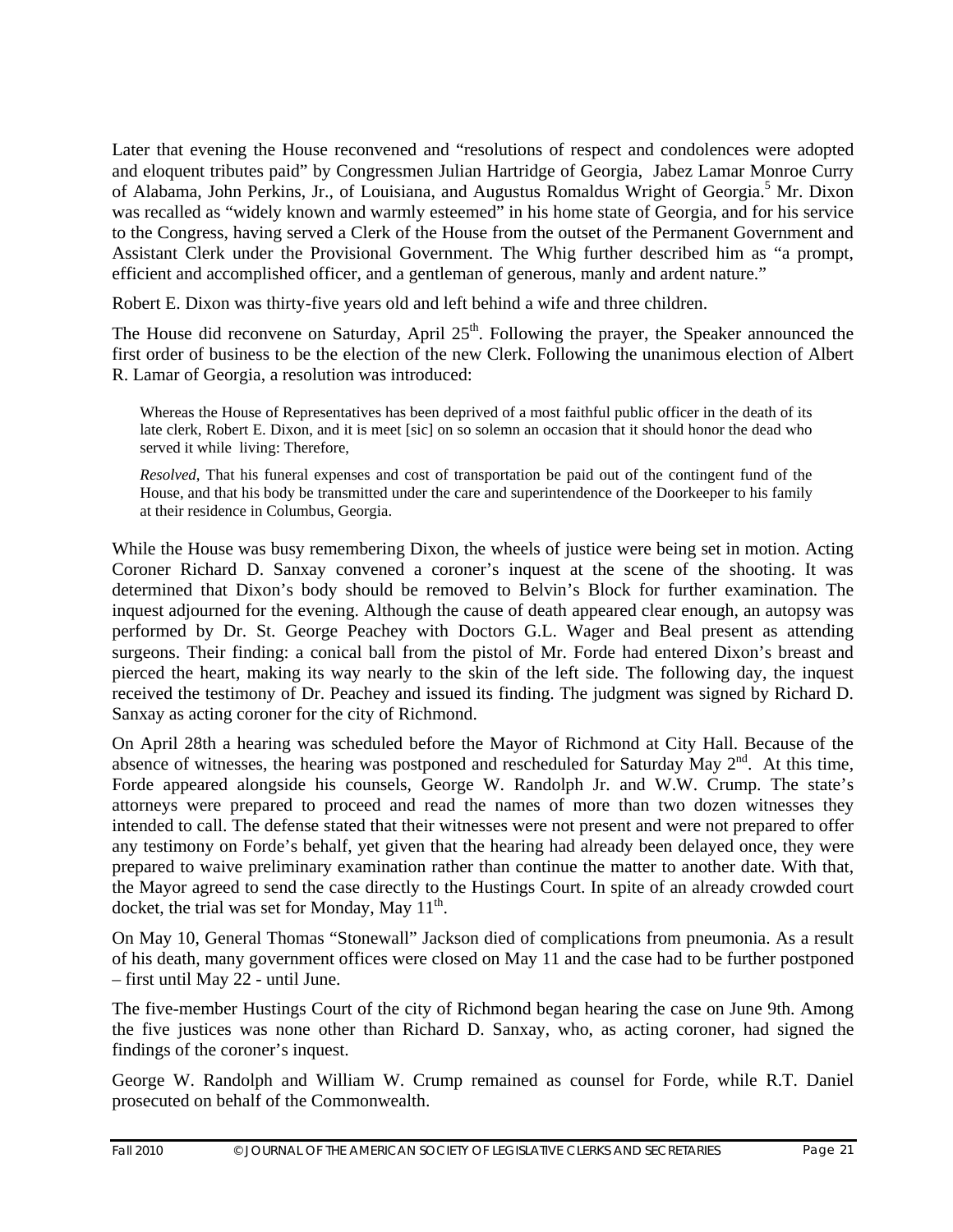Later that evening the House reconvened and "resolutions of respect and condolences were adopted and eloquent tributes paid" by Congressmen Julian Hartridge of Georgia, Jabez Lamar Monroe Curry of Alabama, John Perkins, Jr., of Louisiana, and Augustus Romaldus Wright of Georgia.<sup>5</sup> Mr. Dixon was recalled as "widely known and warmly esteemed" in his home state of Georgia, and for his service to the Congress, having served a Clerk of the House from the outset of the Permanent Government and Assistant Clerk under the Provisional Government. The Whig further described him as "a prompt, efficient and accomplished officer, and a gentleman of generous, manly and ardent nature."

Robert E. Dixon was thirty-five years old and left behind a wife and three children.

The House did reconvene on Saturday, April  $25<sup>th</sup>$ . Following the prayer, the Speaker announced the first order of business to be the election of the new Clerk. Following the unanimous election of Albert R. Lamar of Georgia, a resolution was introduced:

Whereas the House of Representatives has been deprived of a most faithful public officer in the death of its late clerk, Robert E. Dixon, and it is meet [sic] on so solemn an occasion that it should honor the dead who served it while living: Therefore,

*Resolved*, That his funeral expenses and cost of transportation be paid out of the contingent fund of the House, and that his body be transmitted under the care and superintendence of the Doorkeeper to his family at their residence in Columbus, Georgia.

While the House was busy remembering Dixon, the wheels of justice were being set in motion. Acting Coroner Richard D. Sanxay convened a coroner's inquest at the scene of the shooting. It was determined that Dixon's body should be removed to Belvin's Block for further examination. The inquest adjourned for the evening. Although the cause of death appeared clear enough, an autopsy was performed by Dr. St. George Peachey with Doctors G.L. Wager and Beal present as attending surgeons. Their finding: a conical ball from the pistol of Mr. Forde had entered Dixon's breast and pierced the heart, making its way nearly to the skin of the left side. The following day, the inquest received the testimony of Dr. Peachey and issued its finding. The judgment was signed by Richard D. Sanxay as acting coroner for the city of Richmond.

On April 28th a hearing was scheduled before the Mayor of Richmond at City Hall. Because of the absence of witnesses, the hearing was postponed and rescheduled for Saturday May 2<sup>nd</sup>. At this time, Forde appeared alongside his counsels, George W. Randolph Jr. and W.W. Crump. The state's attorneys were prepared to proceed and read the names of more than two dozen witnesses they intended to call. The defense stated that their witnesses were not present and were not prepared to offer any testimony on Forde's behalf, yet given that the hearing had already been delayed once, they were prepared to waive preliminary examination rather than continue the matter to another date. With that, the Mayor agreed to send the case directly to the Hustings Court. In spite of an already crowded court docket, the trial was set for Monday, May  $11<sup>th</sup>$ .

On May 10, General Thomas "Stonewall" Jackson died of complications from pneumonia. As a result of his death, many government offices were closed on May 11 and the case had to be further postponed – first until May 22 - until June.

The five-member Hustings Court of the city of Richmond began hearing the case on June 9th. Among the five justices was none other than Richard D. Sanxay, who, as acting coroner, had signed the findings of the coroner's inquest.

George W. Randolph and William W. Crump remained as counsel for Forde, while R.T. Daniel prosecuted on behalf of the Commonwealth.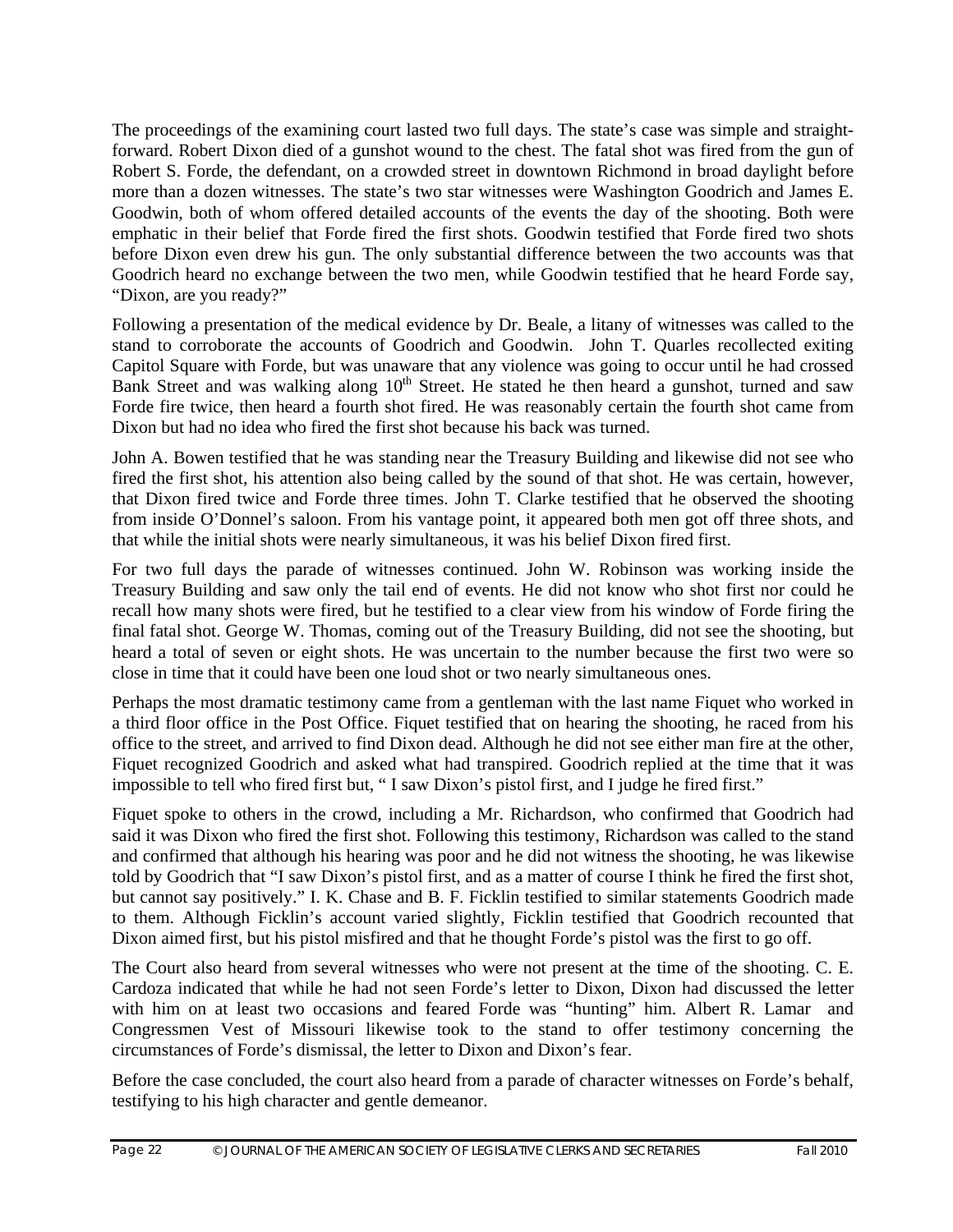The proceedings of the examining court lasted two full days. The state's case was simple and straightforward. Robert Dixon died of a gunshot wound to the chest. The fatal shot was fired from the gun of Robert S. Forde, the defendant, on a crowded street in downtown Richmond in broad daylight before more than a dozen witnesses. The state's two star witnesses were Washington Goodrich and James E. Goodwin, both of whom offered detailed accounts of the events the day of the shooting. Both were emphatic in their belief that Forde fired the first shots. Goodwin testified that Forde fired two shots before Dixon even drew his gun. The only substantial difference between the two accounts was that Goodrich heard no exchange between the two men, while Goodwin testified that he heard Forde say, "Dixon, are you ready?"

Following a presentation of the medical evidence by Dr. Beale, a litany of witnesses was called to the stand to corroborate the accounts of Goodrich and Goodwin. John T. Quarles recollected exiting Capitol Square with Forde, but was unaware that any violence was going to occur until he had crossed Bank Street and was walking along  $10<sup>th</sup>$  Street. He stated he then heard a gunshot, turned and saw Forde fire twice, then heard a fourth shot fired. He was reasonably certain the fourth shot came from Dixon but had no idea who fired the first shot because his back was turned.

John A. Bowen testified that he was standing near the Treasury Building and likewise did not see who fired the first shot, his attention also being called by the sound of that shot. He was certain, however, that Dixon fired twice and Forde three times. John T. Clarke testified that he observed the shooting from inside O'Donnel's saloon. From his vantage point, it appeared both men got off three shots, and that while the initial shots were nearly simultaneous, it was his belief Dixon fired first.

For two full days the parade of witnesses continued. John W. Robinson was working inside the Treasury Building and saw only the tail end of events. He did not know who shot first nor could he recall how many shots were fired, but he testified to a clear view from his window of Forde firing the final fatal shot. George W. Thomas, coming out of the Treasury Building, did not see the shooting, but heard a total of seven or eight shots. He was uncertain to the number because the first two were so close in time that it could have been one loud shot or two nearly simultaneous ones.

Perhaps the most dramatic testimony came from a gentleman with the last name Fiquet who worked in a third floor office in the Post Office. Fiquet testified that on hearing the shooting, he raced from his office to the street, and arrived to find Dixon dead. Although he did not see either man fire at the other, Fiquet recognized Goodrich and asked what had transpired. Goodrich replied at the time that it was impossible to tell who fired first but, " I saw Dixon's pistol first, and I judge he fired first."

Fiquet spoke to others in the crowd, including a Mr. Richardson, who confirmed that Goodrich had said it was Dixon who fired the first shot. Following this testimony, Richardson was called to the stand and confirmed that although his hearing was poor and he did not witness the shooting, he was likewise told by Goodrich that "I saw Dixon's pistol first, and as a matter of course I think he fired the first shot, but cannot say positively." I. K. Chase and B. F. Ficklin testified to similar statements Goodrich made to them. Although Ficklin's account varied slightly, Ficklin testified that Goodrich recounted that Dixon aimed first, but his pistol misfired and that he thought Forde's pistol was the first to go off.

The Court also heard from several witnesses who were not present at the time of the shooting. C. E. Cardoza indicated that while he had not seen Forde's letter to Dixon, Dixon had discussed the letter with him on at least two occasions and feared Forde was "hunting" him. Albert R. Lamar and Congressmen Vest of Missouri likewise took to the stand to offer testimony concerning the circumstances of Forde's dismissal, the letter to Dixon and Dixon's fear.

Before the case concluded, the court also heard from a parade of character witnesses on Forde's behalf, testifying to his high character and gentle demeanor.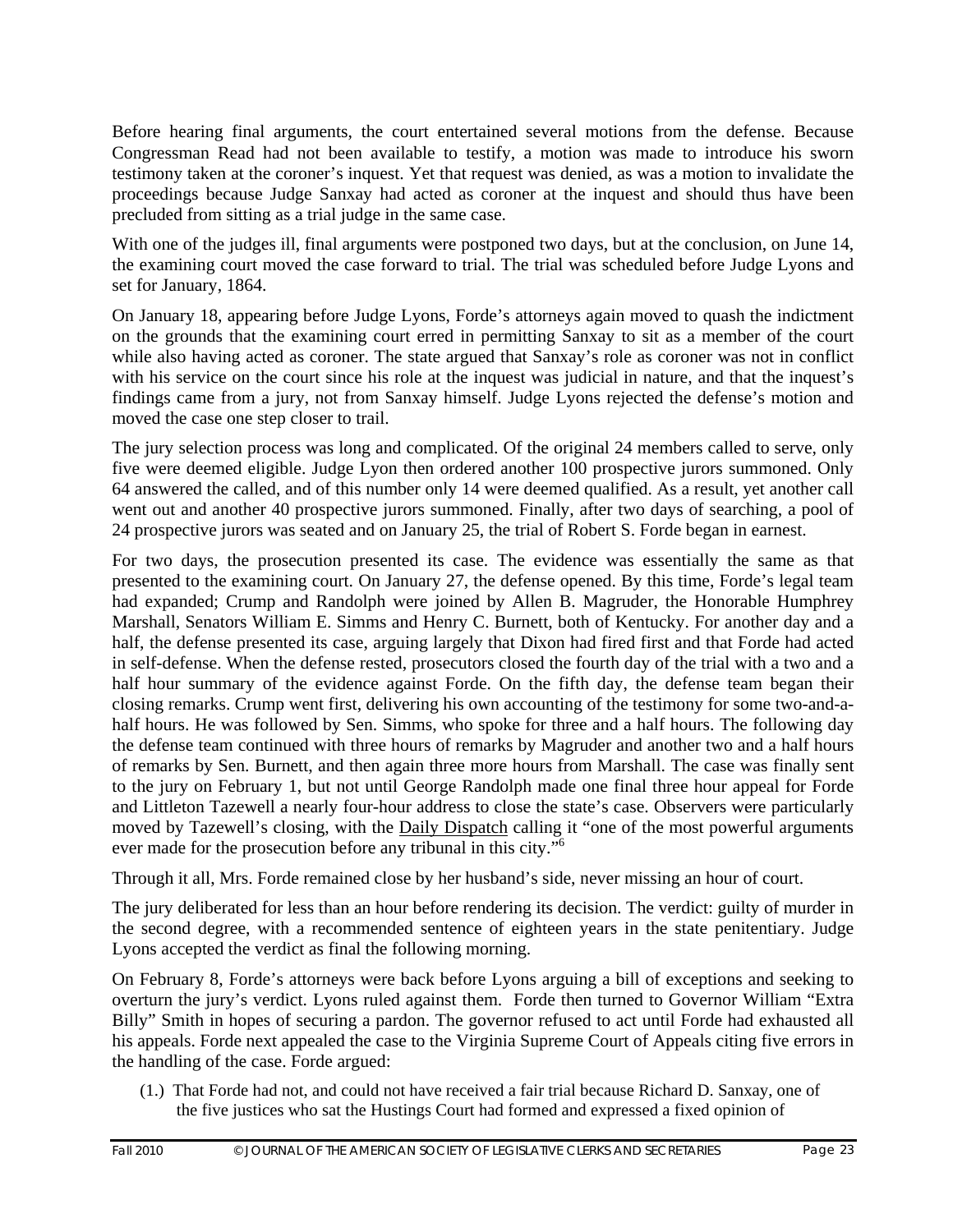Before hearing final arguments, the court entertained several motions from the defense. Because Congressman Read had not been available to testify, a motion was made to introduce his sworn testimony taken at the coroner's inquest. Yet that request was denied, as was a motion to invalidate the proceedings because Judge Sanxay had acted as coroner at the inquest and should thus have been precluded from sitting as a trial judge in the same case.

With one of the judges ill, final arguments were postponed two days, but at the conclusion, on June 14, the examining court moved the case forward to trial. The trial was scheduled before Judge Lyons and set for January, 1864.

On January 18, appearing before Judge Lyons, Forde's attorneys again moved to quash the indictment on the grounds that the examining court erred in permitting Sanxay to sit as a member of the court while also having acted as coroner. The state argued that Sanxay's role as coroner was not in conflict with his service on the court since his role at the inquest was judicial in nature, and that the inquest's findings came from a jury, not from Sanxay himself. Judge Lyons rejected the defense's motion and moved the case one step closer to trail.

The jury selection process was long and complicated. Of the original 24 members called to serve, only five were deemed eligible. Judge Lyon then ordered another 100 prospective jurors summoned. Only 64 answered the called, and of this number only 14 were deemed qualified. As a result, yet another call went out and another 40 prospective jurors summoned. Finally, after two days of searching, a pool of 24 prospective jurors was seated and on January 25, the trial of Robert S. Forde began in earnest.

For two days, the prosecution presented its case. The evidence was essentially the same as that presented to the examining court. On January 27, the defense opened. By this time, Forde's legal team had expanded; Crump and Randolph were joined by Allen B. Magruder, the Honorable Humphrey Marshall, Senators William E. Simms and Henry C. Burnett, both of Kentucky. For another day and a half, the defense presented its case, arguing largely that Dixon had fired first and that Forde had acted in self-defense. When the defense rested, prosecutors closed the fourth day of the trial with a two and a half hour summary of the evidence against Forde. On the fifth day, the defense team began their closing remarks. Crump went first, delivering his own accounting of the testimony for some two-and-ahalf hours. He was followed by Sen. Simms, who spoke for three and a half hours. The following day the defense team continued with three hours of remarks by Magruder and another two and a half hours of remarks by Sen. Burnett, and then again three more hours from Marshall. The case was finally sent to the jury on February 1, but not until George Randolph made one final three hour appeal for Forde and Littleton Tazewell a nearly four-hour address to close the state's case. Observers were particularly moved by Tazewell's closing, with the Daily Dispatch calling it "one of the most powerful arguments ever made for the prosecution before any tribunal in this city."6

Through it all, Mrs. Forde remained close by her husband's side, never missing an hour of court.

The jury deliberated for less than an hour before rendering its decision. The verdict: guilty of murder in the second degree, with a recommended sentence of eighteen years in the state penitentiary. Judge Lyons accepted the verdict as final the following morning.

On February 8, Forde's attorneys were back before Lyons arguing a bill of exceptions and seeking to overturn the jury's verdict. Lyons ruled against them. Forde then turned to Governor William "Extra Billy" Smith in hopes of securing a pardon. The governor refused to act until Forde had exhausted all his appeals. Forde next appealed the case to the Virginia Supreme Court of Appeals citing five errors in the handling of the case. Forde argued:

 (1.) That Forde had not, and could not have received a fair trial because Richard D. Sanxay, one of the five justices who sat the Hustings Court had formed and expressed a fixed opinion of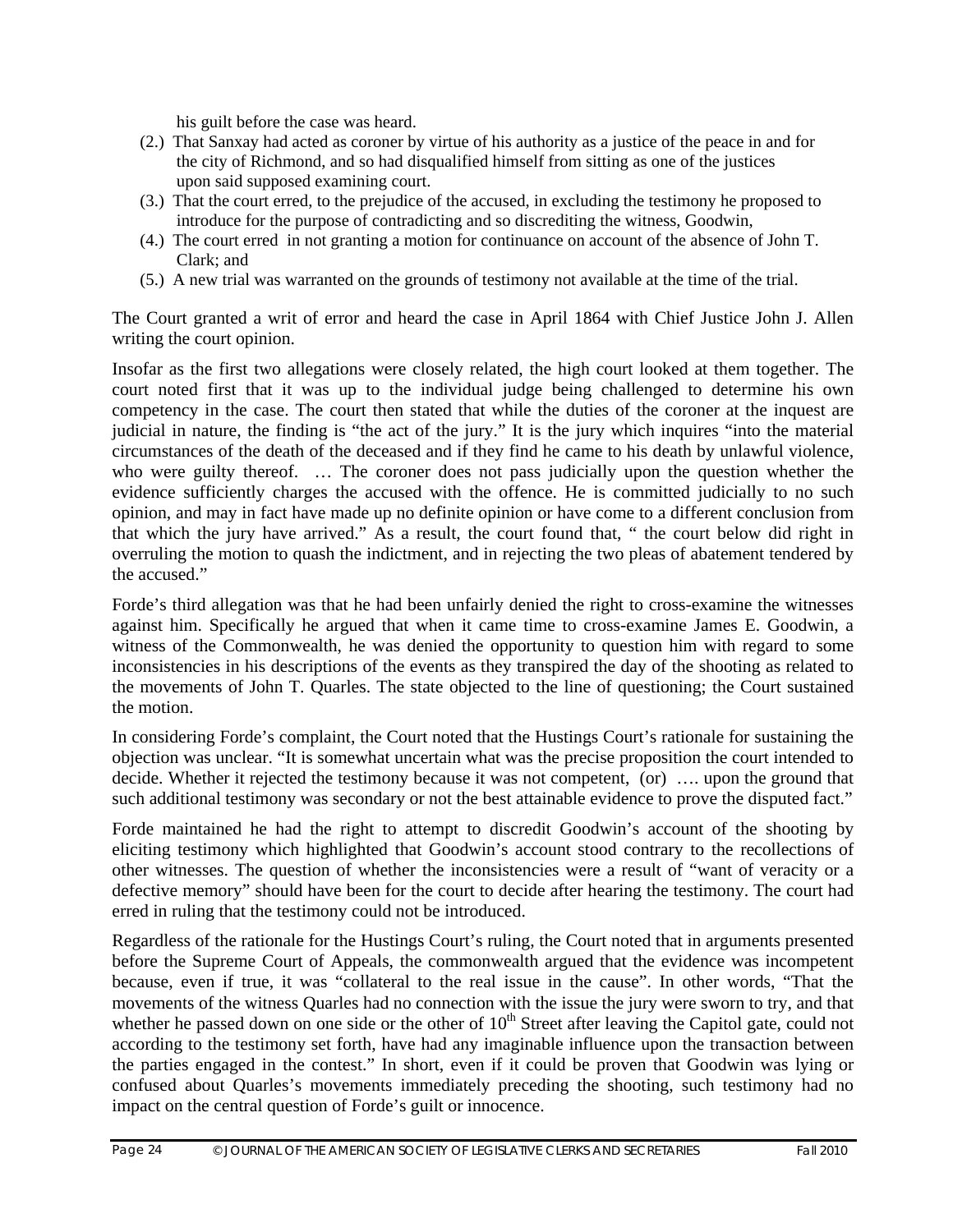his guilt before the case was heard.

- (2.) That Sanxay had acted as coroner by virtue of his authority as a justice of the peace in and for the city of Richmond, and so had disqualified himself from sitting as one of the justices upon said supposed examining court.
- (3.) That the court erred, to the prejudice of the accused, in excluding the testimony he proposed to introduce for the purpose of contradicting and so discrediting the witness, Goodwin,
- (4.) The court erred in not granting a motion for continuance on account of the absence of John T. Clark; and
- (5.) A new trial was warranted on the grounds of testimony not available at the time of the trial.

The Court granted a writ of error and heard the case in April 1864 with Chief Justice John J. Allen writing the court opinion.

Insofar as the first two allegations were closely related, the high court looked at them together. The court noted first that it was up to the individual judge being challenged to determine his own competency in the case. The court then stated that while the duties of the coroner at the inquest are judicial in nature, the finding is "the act of the jury." It is the jury which inquires "into the material circumstances of the death of the deceased and if they find he came to his death by unlawful violence, who were guilty thereof. ... The coroner does not pass judicially upon the question whether the evidence sufficiently charges the accused with the offence. He is committed judicially to no such opinion, and may in fact have made up no definite opinion or have come to a different conclusion from that which the jury have arrived." As a result, the court found that, " the court below did right in overruling the motion to quash the indictment, and in rejecting the two pleas of abatement tendered by the accused."

Forde's third allegation was that he had been unfairly denied the right to cross-examine the witnesses against him. Specifically he argued that when it came time to cross-examine James E. Goodwin, a witness of the Commonwealth, he was denied the opportunity to question him with regard to some inconsistencies in his descriptions of the events as they transpired the day of the shooting as related to the movements of John T. Quarles. The state objected to the line of questioning; the Court sustained the motion.

In considering Forde's complaint, the Court noted that the Hustings Court's rationale for sustaining the objection was unclear. "It is somewhat uncertain what was the precise proposition the court intended to decide. Whether it rejected the testimony because it was not competent, (or) …. upon the ground that such additional testimony was secondary or not the best attainable evidence to prove the disputed fact."

Forde maintained he had the right to attempt to discredit Goodwin's account of the shooting by eliciting testimony which highlighted that Goodwin's account stood contrary to the recollections of other witnesses. The question of whether the inconsistencies were a result of "want of veracity or a defective memory" should have been for the court to decide after hearing the testimony. The court had erred in ruling that the testimony could not be introduced.

Regardless of the rationale for the Hustings Court's ruling, the Court noted that in arguments presented before the Supreme Court of Appeals, the commonwealth argued that the evidence was incompetent because, even if true, it was "collateral to the real issue in the cause". In other words, "That the movements of the witness Quarles had no connection with the issue the jury were sworn to try, and that whether he passed down on one side or the other of 10<sup>th</sup> Street after leaving the Capitol gate, could not according to the testimony set forth, have had any imaginable influence upon the transaction between the parties engaged in the contest." In short, even if it could be proven that Goodwin was lying or confused about Quarles's movements immediately preceding the shooting, such testimony had no impact on the central question of Forde's guilt or innocence.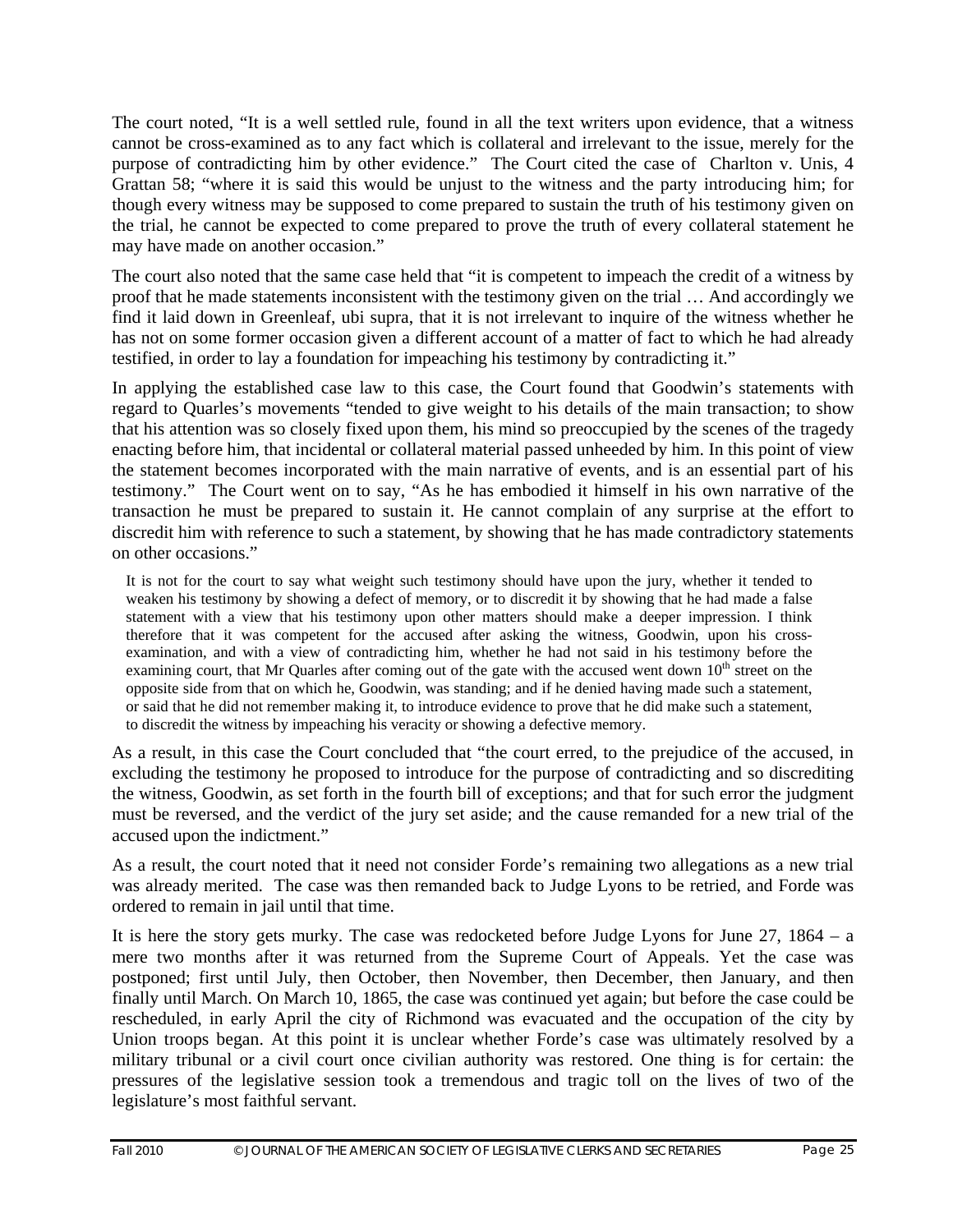The court noted, "It is a well settled rule, found in all the text writers upon evidence, that a witness cannot be cross-examined as to any fact which is collateral and irrelevant to the issue, merely for the purpose of contradicting him by other evidence." The Court cited the case of Charlton v. Unis, 4 Grattan 58; "where it is said this would be unjust to the witness and the party introducing him; for though every witness may be supposed to come prepared to sustain the truth of his testimony given on the trial, he cannot be expected to come prepared to prove the truth of every collateral statement he may have made on another occasion."

The court also noted that the same case held that "it is competent to impeach the credit of a witness by proof that he made statements inconsistent with the testimony given on the trial … And accordingly we find it laid down in Greenleaf, ubi supra, that it is not irrelevant to inquire of the witness whether he has not on some former occasion given a different account of a matter of fact to which he had already testified, in order to lay a foundation for impeaching his testimony by contradicting it."

In applying the established case law to this case, the Court found that Goodwin's statements with regard to Quarles's movements "tended to give weight to his details of the main transaction; to show that his attention was so closely fixed upon them, his mind so preoccupied by the scenes of the tragedy enacting before him, that incidental or collateral material passed unheeded by him. In this point of view the statement becomes incorporated with the main narrative of events, and is an essential part of his testimony." The Court went on to say, "As he has embodied it himself in his own narrative of the transaction he must be prepared to sustain it. He cannot complain of any surprise at the effort to discredit him with reference to such a statement, by showing that he has made contradictory statements on other occasions."

It is not for the court to say what weight such testimony should have upon the jury, whether it tended to weaken his testimony by showing a defect of memory, or to discredit it by showing that he had made a false statement with a view that his testimony upon other matters should make a deeper impression. I think therefore that it was competent for the accused after asking the witness, Goodwin, upon his crossexamination, and with a view of contradicting him, whether he had not said in his testimony before the examining court, that Mr Quarles after coming out of the gate with the accused went down  $10<sup>th</sup>$  street on the opposite side from that on which he, Goodwin, was standing; and if he denied having made such a statement, or said that he did not remember making it, to introduce evidence to prove that he did make such a statement, to discredit the witness by impeaching his veracity or showing a defective memory.

As a result, in this case the Court concluded that "the court erred, to the prejudice of the accused, in excluding the testimony he proposed to introduce for the purpose of contradicting and so discrediting the witness, Goodwin, as set forth in the fourth bill of exceptions; and that for such error the judgment must be reversed, and the verdict of the jury set aside; and the cause remanded for a new trial of the accused upon the indictment."

As a result, the court noted that it need not consider Forde's remaining two allegations as a new trial was already merited. The case was then remanded back to Judge Lyons to be retried, and Forde was ordered to remain in jail until that time.

It is here the story gets murky. The case was redocketed before Judge Lyons for June 27, 1864 – a mere two months after it was returned from the Supreme Court of Appeals. Yet the case was postponed; first until July, then October, then November, then December, then January, and then finally until March. On March 10, 1865, the case was continued yet again; but before the case could be rescheduled, in early April the city of Richmond was evacuated and the occupation of the city by Union troops began. At this point it is unclear whether Forde's case was ultimately resolved by a military tribunal or a civil court once civilian authority was restored. One thing is for certain: the pressures of the legislative session took a tremendous and tragic toll on the lives of two of the legislature's most faithful servant.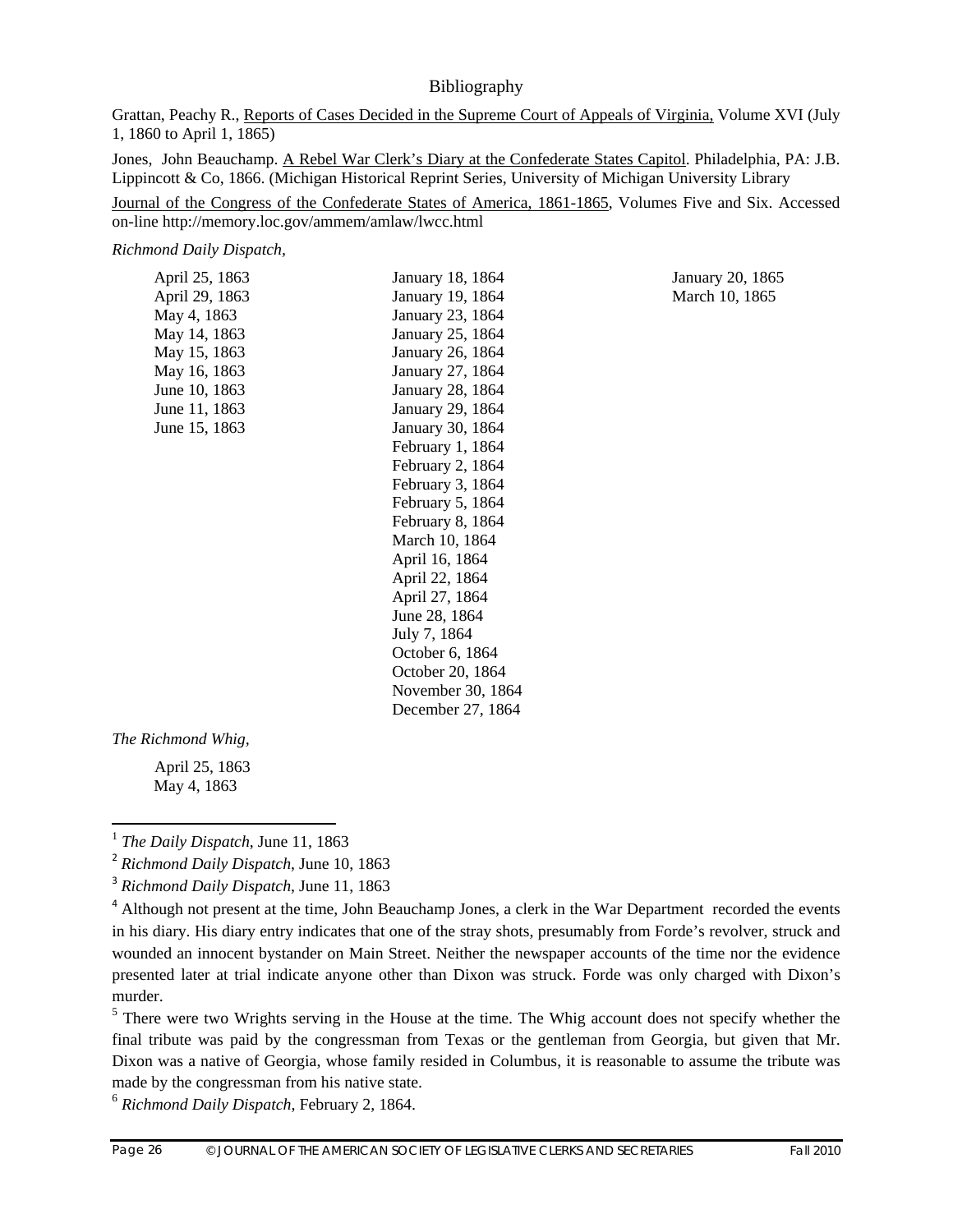#### Bibliography

Grattan, Peachy R., Reports of Cases Decided in the Supreme Court of Appeals of Virginia, Volume XVI (July 1, 1860 to April 1, 1865)

Jones, John Beauchamp. A Rebel War Clerk's Diary at the Confederate States Capitol. Philadelphia, PA: J.B. Lippincott & Co, 1866. (Michigan Historical Reprint Series, University of Michigan University Library

Journal of the Congress of the Confederate States of America, 1861-1865, Volumes Five and Six. Accessed on-line http://memory.loc.gov/ammem/amlaw/lwcc.html

*Richmond Daily Dispatch,*

April 25, 1863 January 18, 1864 January 20, 1865 April 29, 1863 January 19, 1864 March 10, 1865 May 4, 1863 January 23, 1864 May 14, 1863 January 25, 1864 May 15, 1863 January 26, 1864 May 16, 1863 January 27, 1864 June 10, 1863 January 28, 1864 June 11, 1863 January 29, 1864 June 15, 1863 January 30, 1864 February 1, 1864 February 2, 1864 February 3, 1864 February 5, 1864 February 8, 1864 March 10, 1864 April 16, 1864 April 22, 1864 April 27, 1864 June 28, 1864 July 7, 1864 October 6, 1864 October 20, 1864 November 30, 1864 December 27, 1864

*The Richmond Whig,* 

April 25, 1863 May 4, 1863

<sup>6</sup> *Richmond Daily Dispatch*, February 2, 1864.



 <sup>1</sup> *The Daily Dispatch*, June 11, 1863

<sup>2</sup> *Richmond Daily Dispatch*, June 10, 1863

<sup>3</sup> *Richmond Daily Dispatch*, June 11, 1863

<sup>&</sup>lt;sup>4</sup> Although not present at the time, John Beauchamp Jones, a clerk in the War Department recorded the events in his diary. His diary entry indicates that one of the stray shots, presumably from Forde's revolver, struck and wounded an innocent bystander on Main Street. Neither the newspaper accounts of the time nor the evidence presented later at trial indicate anyone other than Dixon was struck. Forde was only charged with Dixon's murder.

 $<sup>5</sup>$  There were two Wrights serving in the House at the time. The Whig account does not specify whether the</sup> final tribute was paid by the congressman from Texas or the gentleman from Georgia, but given that Mr. Dixon was a native of Georgia, whose family resided in Columbus, it is reasonable to assume the tribute was made by the congressman from his native state.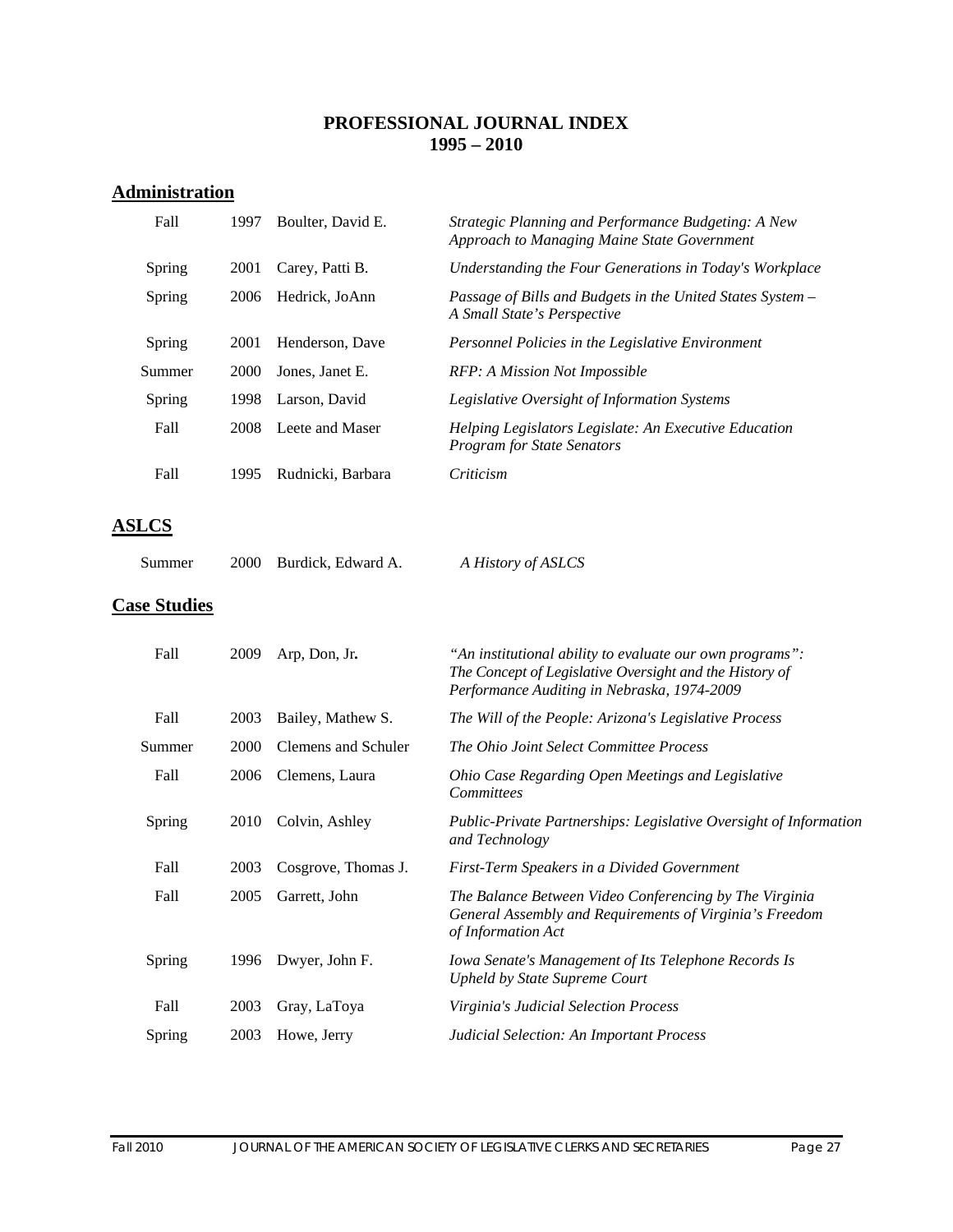#### **PROFESSIONAL JOURNAL INDEX 1995 – 2010**

# **Administration**

| Fall   | 1997 | Boulter, David E. | Strategic Planning and Performance Budgeting: A New<br>Approach to Managing Maine State Government |
|--------|------|-------------------|----------------------------------------------------------------------------------------------------|
| Spring | 2001 | Carey, Patti B.   | Understanding the Four Generations in Today's Workplace                                            |
| Spring | 2006 | Hedrick, JoAnn    | Passage of Bills and Budgets in the United States System –<br>A Small State's Perspective          |
| Spring | 2001 | Henderson, Dave   | Personnel Policies in the Legislative Environment                                                  |
| Summer | 2000 | Jones, Janet E.   | RFP: A Mission Not Impossible                                                                      |
| Spring | 1998 | Larson, David     | <i>Legislative Oversight of Information Systems</i>                                                |
| Fall   | 2008 | Leete and Maser   | Helping Legislators Legislate: An Executive Education<br><b>Program for State Senators</b>         |
| Fall   | 1995 | Rudnicki, Barbara | Criticism                                                                                          |

## **ASLCS**

| Summer | 2000 Burdick, Edward A. | A History of ASLCS |
|--------|-------------------------|--------------------|
|        |                         |                    |

# **Case Studies**

| Fall   | 2009 | Arp, Don, Jr.       | "An institutional ability to evaluate our own programs":<br>The Concept of Legislative Oversight and the History of<br>Performance Auditing in Nebraska, 1974-2009 |
|--------|------|---------------------|--------------------------------------------------------------------------------------------------------------------------------------------------------------------|
| Fall   | 2003 | Bailey, Mathew S.   | The Will of the People: Arizona's Legislative Process                                                                                                              |
| Summer | 2000 | Clemens and Schuler | The Ohio Joint Select Committee Process                                                                                                                            |
| Fall   | 2006 | Clemens, Laura      | Ohio Case Regarding Open Meetings and Legislative<br>Committees                                                                                                    |
| Spring | 2010 | Colvin, Ashley      | Public-Private Partnerships: Legislative Oversight of Information<br>and Technology                                                                                |
| Fall   | 2003 | Cosgrove, Thomas J. | First-Term Speakers in a Divided Government                                                                                                                        |
| Fall   | 2005 | Garrett, John       | The Balance Between Video Conferencing by The Virginia<br>General Assembly and Requirements of Virginia's Freedom<br>of Information Act                            |
| Spring | 1996 | Dwyer, John F.      | Iowa Senate's Management of Its Telephone Records Is<br>Upheld by State Supreme Court                                                                              |
| Fall   | 2003 | Gray, LaToya        | Virginia's Judicial Selection Process                                                                                                                              |
| Spring | 2003 | Howe, Jerry         | <b>Judicial Selection: An Important Process</b>                                                                                                                    |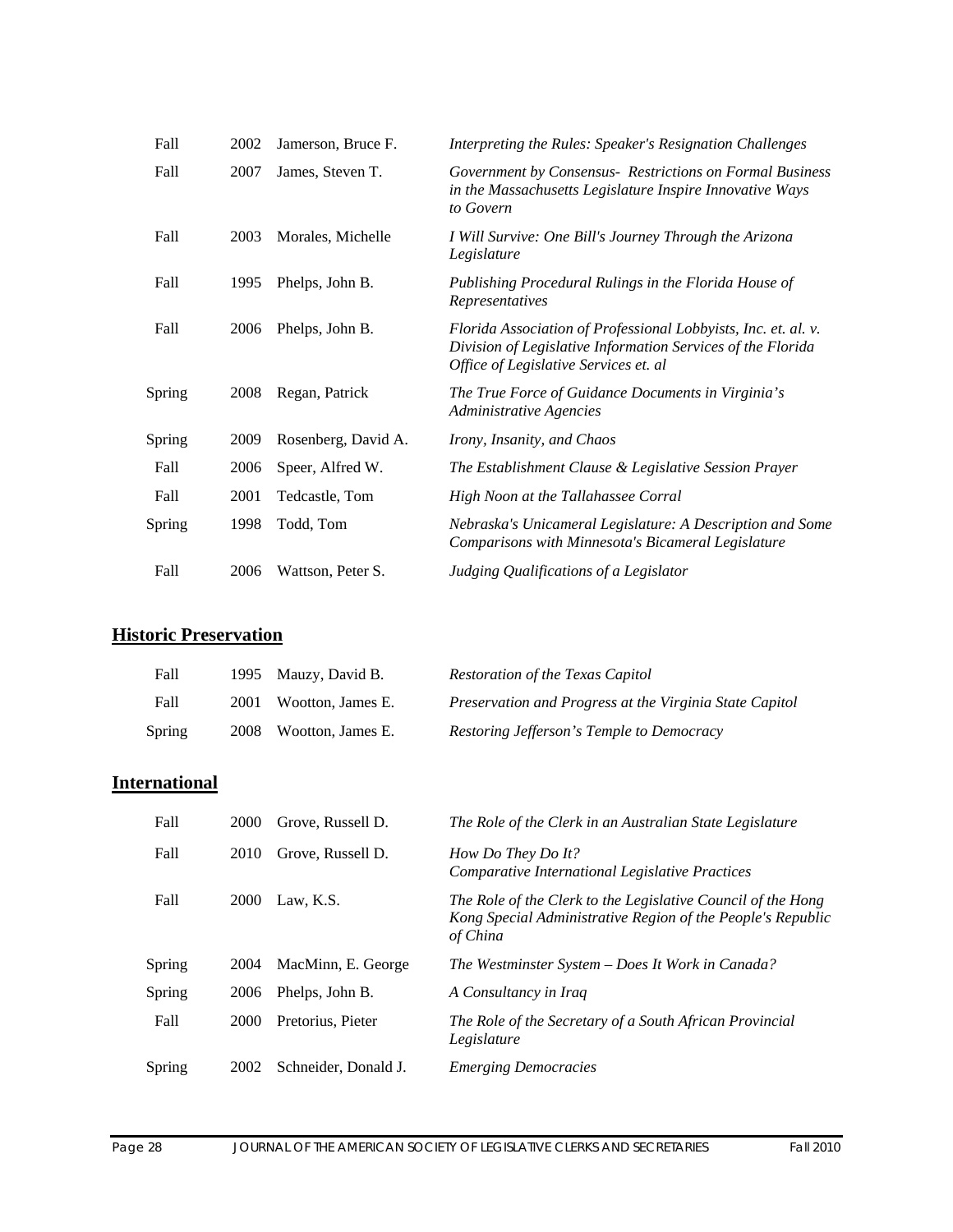| Fall          | 2002 | Jamerson, Bruce F.  | Interpreting the Rules: Speaker's Resignation Challenges                                                                                                               |
|---------------|------|---------------------|------------------------------------------------------------------------------------------------------------------------------------------------------------------------|
| Fall          | 2007 | James, Steven T.    | Government by Consensus- Restrictions on Formal Business<br>in the Massachusetts Legislature Inspire Innovative Ways<br>to Govern                                      |
| Fall          | 2003 | Morales, Michelle   | I Will Survive: One Bill's Journey Through the Arizona<br>Legislature                                                                                                  |
| Fall          | 1995 | Phelps, John B.     | Publishing Procedural Rulings in the Florida House of<br>Representatives                                                                                               |
| Fall          | 2006 | Phelps, John B.     | Florida Association of Professional Lobbyists, Inc. et. al. v.<br>Division of Legislative Information Services of the Florida<br>Office of Legislative Services et. al |
| <b>Spring</b> | 2008 | Regan, Patrick      | The True Force of Guidance Documents in Virginia's<br><b>Administrative Agencies</b>                                                                                   |
| Spring        | 2009 | Rosenberg, David A. | Irony, Insanity, and Chaos                                                                                                                                             |
| Fall          | 2006 | Speer, Alfred W.    | The Establishment Clause & Legislative Session Prayer                                                                                                                  |
| Fall          | 2001 | Tedcastle, Tom      | High Noon at the Tallahassee Corral                                                                                                                                    |
| <b>Spring</b> | 1998 | Todd, Tom           | Nebraska's Unicameral Legislature: A Description and Some<br>Comparisons with Minnesota's Bicameral Legislature                                                        |
| Fall          | 2006 | Wattson, Peter S.   | Judging Qualifications of a Legislator                                                                                                                                 |

## **Historic Preservation**

| Fall          | 1995 Mauzy, David B.   | Restoration of the Texas Capitol                        |
|---------------|------------------------|---------------------------------------------------------|
| Fall          | 2001 Wootton, James E. | Preservation and Progress at the Virginia State Capitol |
| <b>Spring</b> | 2008 Wootton, James E. | Restoring Jefferson's Temple to Democracy               |

# **International**

| Fall   | <b>2000</b> | Grove, Russell D.    | The Role of the Clerk in an Australian State Legislature                                                                                |
|--------|-------------|----------------------|-----------------------------------------------------------------------------------------------------------------------------------------|
| Fall   | 2010        | Grove, Russell D.    | How Do They Do It?<br>Comparative International Legislative Practices                                                                   |
| Fall   | 2000        | Law, K.S.            | The Role of the Clerk to the Legislative Council of the Hong<br>Kong Special Administrative Region of the People's Republic<br>of China |
| Spring | 2004        | MacMinn, E. George   | The Westminster System - Does It Work in Canada?                                                                                        |
| Spring | 2006        | Phelps, John B.      | A Consultancy in Iraq                                                                                                                   |
| Fall   | 2000        | Pretorius, Pieter    | The Role of the Secretary of a South African Provincial<br>Legislature                                                                  |
| Spring | 2002        | Schneider, Donald J. | <b>Emerging Democracies</b>                                                                                                             |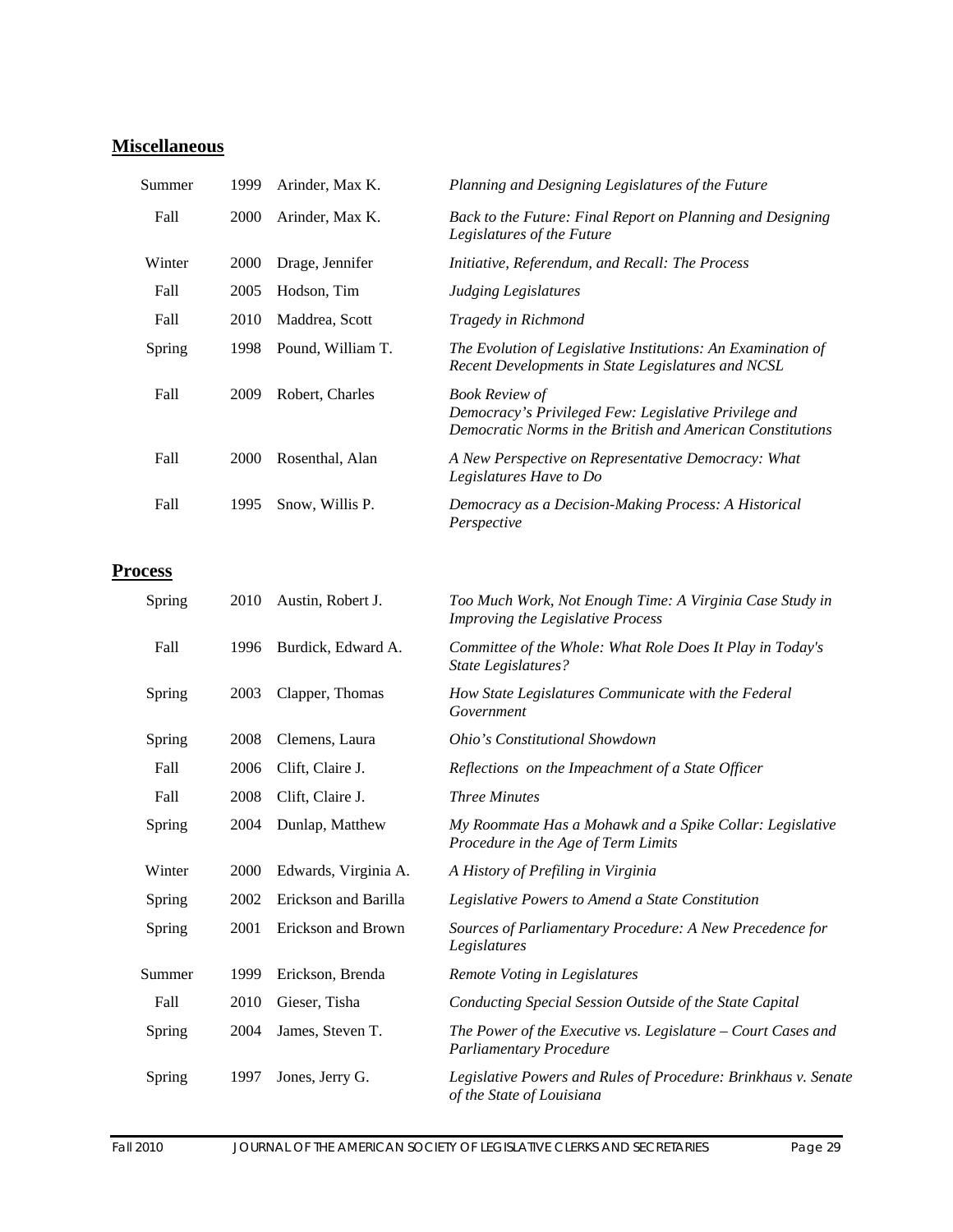## **Miscellaneous**

| Summer         | 1999 | Arinder, Max K.      | Planning and Designing Legislatures of the Future                                                                                            |
|----------------|------|----------------------|----------------------------------------------------------------------------------------------------------------------------------------------|
| Fall           | 2000 | Arinder, Max K.      | Back to the Future: Final Report on Planning and Designing<br>Legislatures of the Future                                                     |
| Winter         | 2000 | Drage, Jennifer      | Initiative, Referendum, and Recall: The Process                                                                                              |
| Fall           | 2005 | Hodson, Tim          | <b>Judging Legislatures</b>                                                                                                                  |
| Fall           | 2010 | Maddrea, Scott       | Tragedy in Richmond                                                                                                                          |
| Spring         | 1998 | Pound, William T.    | The Evolution of Legislative Institutions: An Examination of<br>Recent Developments in State Legislatures and NCSL                           |
| Fall           | 2009 | Robert, Charles      | <b>Book Review of</b><br>Democracy's Privileged Few: Legislative Privilege and<br>Democratic Norms in the British and American Constitutions |
| Fall           | 2000 | Rosenthal, Alan      | A New Perspective on Representative Democracy: What<br>Legislatures Have to Do                                                               |
| Fall           | 1995 | Snow, Willis P.      | Democracy as a Decision-Making Process: A Historical<br>Perspective                                                                          |
| <b>Process</b> |      |                      |                                                                                                                                              |
| Spring         | 2010 | Austin, Robert J.    | Too Much Work, Not Enough Time: A Virginia Case Study in<br>Improving the Legislative Process                                                |
| Fall           | 1996 | Burdick, Edward A.   | Committee of the Whole: What Role Does It Play in Today's<br><b>State Legislatures?</b>                                                      |
| Spring         | 2003 | Clapper, Thomas      | How State Legislatures Communicate with the Federal<br>Government                                                                            |
| Spring         | 2008 | Clemens, Laura       | Ohio's Constitutional Showdown                                                                                                               |
| Fall           | 2006 | Clift, Claire J.     | Reflections on the Impeachment of a State Officer                                                                                            |
| Fall           | 2008 | Clift, Claire J.     | <b>Three Minutes</b>                                                                                                                         |
| Spring         | 2004 | Dunlap, Matthew      | My Roommate Has a Mohawk and a Spike Collar: Legislative<br>Procedure in the Age of Term Limits                                              |
| Winter         | 2000 | Edwards, Virginia A. | A History of Prefiling in Virginia                                                                                                           |
| Spring         | 2002 | Erickson and Barilla | Legislative Powers to Amend a State Constitution                                                                                             |
| Spring         | 2001 | Erickson and Brown   | Sources of Parliamentary Procedure: A New Precedence for<br>Legislatures                                                                     |
| Summer         | 1999 | Erickson, Brenda     | Remote Voting in Legislatures                                                                                                                |
| Fall           | 2010 | Gieser, Tisha        | Conducting Special Session Outside of the State Capital                                                                                      |
| Spring         | 2004 | James, Steven T.     | The Power of the Executive vs. Legislature $-$ Court Cases and<br><b>Parliamentary Procedure</b>                                             |
| Spring         | 1997 | Jones, Jerry G.      | Legislative Powers and Rules of Procedure: Brinkhaus v. Senate<br>of the State of Louisiana                                                  |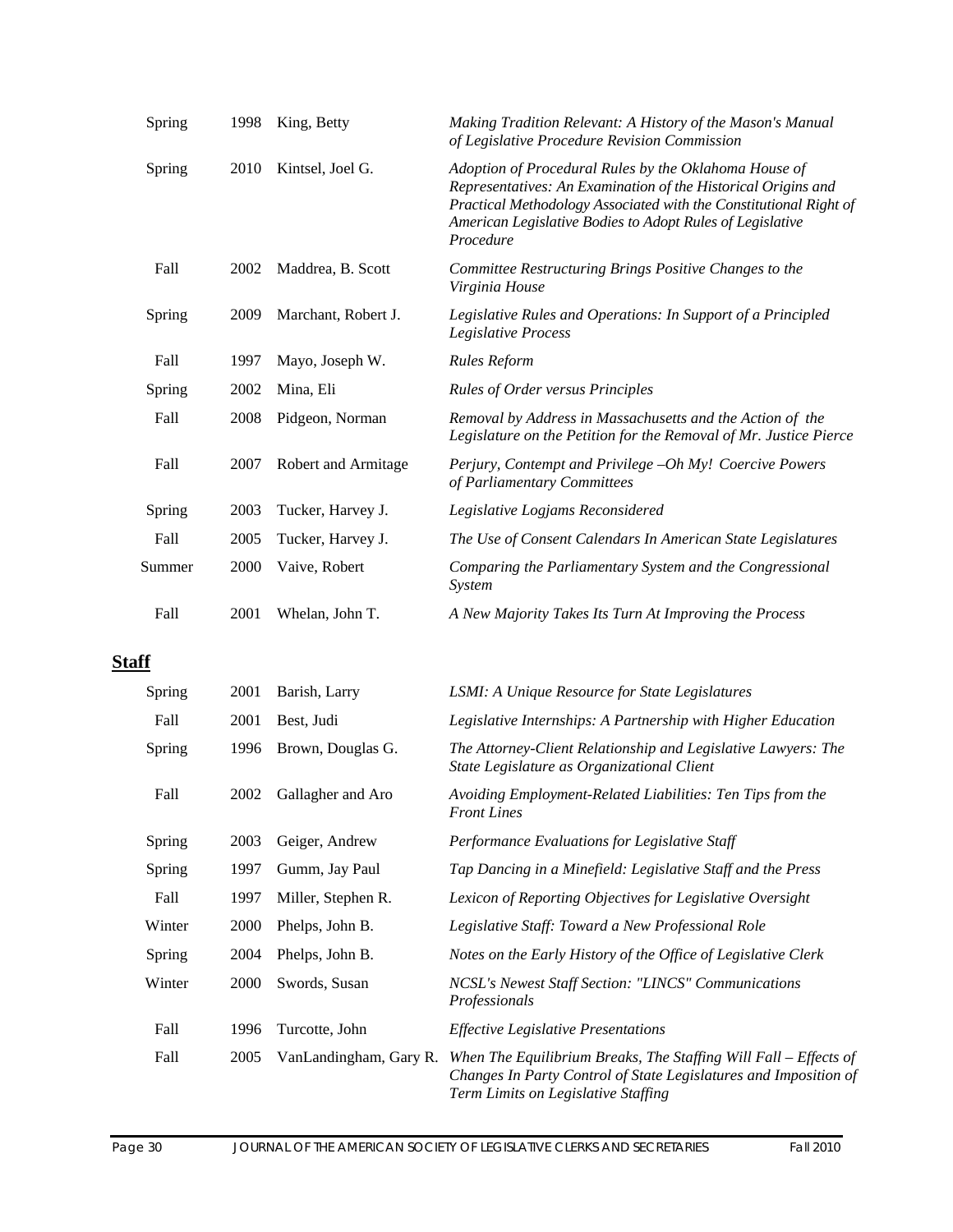| Adoption of Procedural Rules by the Oklahoma House of<br>Representatives: An Examination of the Historical Origins and<br>Practical Methodology Associated with the Constitutional Right of<br>American Legislative Bodies to Adopt Rules of Legislative |
|----------------------------------------------------------------------------------------------------------------------------------------------------------------------------------------------------------------------------------------------------------|
| Committee Restructuring Brings Positive Changes to the                                                                                                                                                                                                   |
| Legislative Rules and Operations: In Support of a Principled                                                                                                                                                                                             |
|                                                                                                                                                                                                                                                          |
|                                                                                                                                                                                                                                                          |
| Removal by Address in Massachusetts and the Action of the<br>Legislature on the Petition for the Removal of Mr. Justice Pierce                                                                                                                           |
| Perjury, Contempt and Privilege -Oh My! Coercive Powers                                                                                                                                                                                                  |
|                                                                                                                                                                                                                                                          |
| The Use of Consent Calendars In American State Legislatures                                                                                                                                                                                              |
| Comparing the Parliamentary System and the Congressional                                                                                                                                                                                                 |
| A New Majority Takes Its Turn At Improving the Process                                                                                                                                                                                                   |
|                                                                                                                                                                                                                                                          |

# **Staff**

| Spring | 2001 | Barish, Larry          | LSMI: A Unique Resource for State Legislatures                                                                                                                                |
|--------|------|------------------------|-------------------------------------------------------------------------------------------------------------------------------------------------------------------------------|
| Fall   | 2001 | Best, Judi             | Legislative Internships: A Partnership with Higher Education                                                                                                                  |
| Spring | 1996 | Brown, Douglas G.      | The Attorney-Client Relationship and Legislative Lawyers: The<br>State Legislature as Organizational Client                                                                   |
| Fall   | 2002 | Gallagher and Aro      | Avoiding Employment-Related Liabilities: Ten Tips from the<br><b>Front Lines</b>                                                                                              |
| Spring | 2003 | Geiger, Andrew         | Performance Evaluations for Legislative Staff                                                                                                                                 |
| Spring | 1997 | Gumm, Jay Paul         | Tap Dancing in a Minefield: Legislative Staff and the Press                                                                                                                   |
| Fall   | 1997 | Miller, Stephen R.     | Lexicon of Reporting Objectives for Legislative Oversight                                                                                                                     |
| Winter | 2000 | Phelps, John B.        | Legislative Staff: Toward a New Professional Role                                                                                                                             |
| Spring | 2004 | Phelps, John B.        | Notes on the Early History of the Office of Legislative Clerk                                                                                                                 |
| Winter | 2000 | Swords, Susan          | NCSL's Newest Staff Section: "LINCS" Communications<br>Professionals                                                                                                          |
| Fall   | 1996 | Turcotte, John         | <i>Effective Legislative Presentations</i>                                                                                                                                    |
| Fall   | 2005 | VanLandingham, Gary R. | When The Equilibrium Breaks, The Staffing Will Fall $-E$ ffects of<br>Changes In Party Control of State Legislatures and Imposition of<br>Term Limits on Legislative Staffing |